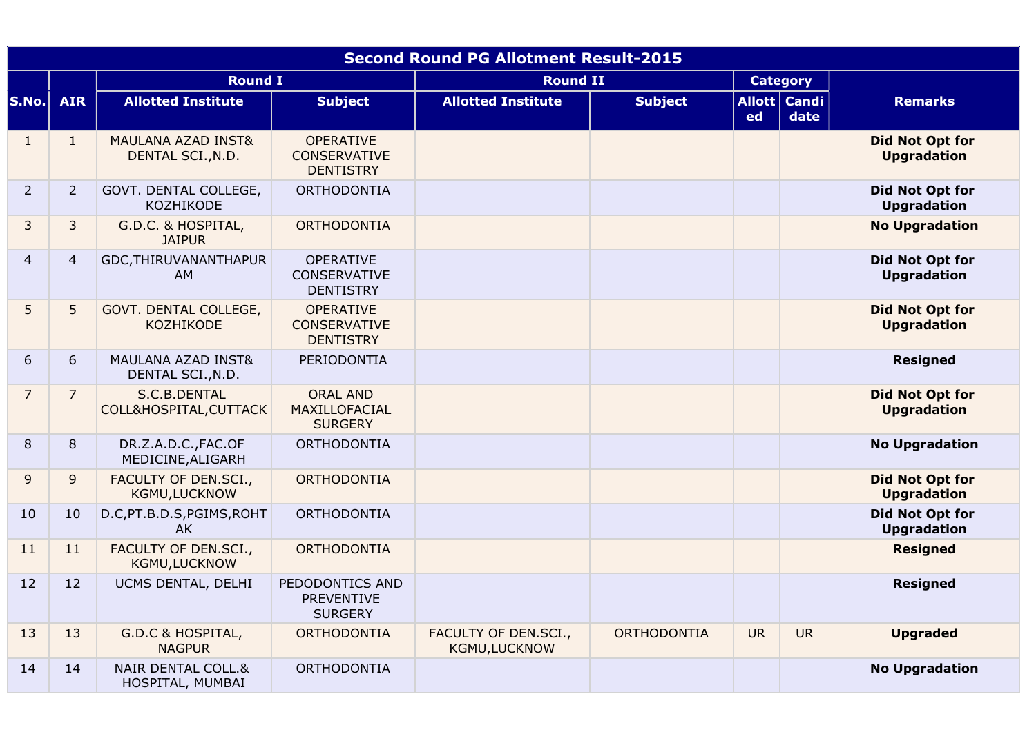|                | <b>Second Round PG Allotment Result-2015</b> |                                                    |                                                             |                                             |                |           |                        |                                              |  |  |  |
|----------------|----------------------------------------------|----------------------------------------------------|-------------------------------------------------------------|---------------------------------------------|----------------|-----------|------------------------|----------------------------------------------|--|--|--|
|                |                                              | <b>Round I</b>                                     |                                                             | <b>Round II</b>                             |                |           | <b>Category</b>        |                                              |  |  |  |
| S.No.          | <b>AIR</b>                                   | <b>Allotted Institute</b>                          | <b>Subject</b>                                              | <b>Allotted Institute</b>                   | <b>Subject</b> | ed        | Allott   Candi<br>date | <b>Remarks</b>                               |  |  |  |
| $\mathbf{1}$   | $\mathbf{1}$                                 | <b>MAULANA AZAD INST&amp;</b><br>DENTAL SCI., N.D. | <b>OPERATIVE</b><br><b>CONSERVATIVE</b><br><b>DENTISTRY</b> |                                             |                |           |                        | <b>Did Not Opt for</b><br><b>Upgradation</b> |  |  |  |
| $\overline{2}$ | $\overline{2}$                               | GOVT. DENTAL COLLEGE,<br>KOZHIKODE                 | <b>ORTHODONTIA</b>                                          |                                             |                |           |                        | <b>Did Not Opt for</b><br><b>Upgradation</b> |  |  |  |
| 3              | 3                                            | G.D.C. & HOSPITAL,<br><b>JAIPUR</b>                | <b>ORTHODONTIA</b>                                          |                                             |                |           |                        | <b>No Upgradation</b>                        |  |  |  |
| 4              | 4                                            | GDC, THIRUVANANTHAPUR<br>AM                        | <b>OPERATIVE</b><br>CONSERVATIVE<br><b>DENTISTRY</b>        |                                             |                |           |                        | <b>Did Not Opt for</b><br><b>Upgradation</b> |  |  |  |
| 5              | 5                                            | GOVT. DENTAL COLLEGE,<br><b>KOZHIKODE</b>          | <b>OPERATIVE</b><br><b>CONSERVATIVE</b><br><b>DENTISTRY</b> |                                             |                |           |                        | <b>Did Not Opt for</b><br><b>Upgradation</b> |  |  |  |
| 6              | 6                                            | MAULANA AZAD INST&<br>DENTAL SCI., N.D.            | PERIODONTIA                                                 |                                             |                |           |                        | <b>Resigned</b>                              |  |  |  |
| $\overline{7}$ | 7                                            | S.C.B.DENTAL<br>COLL&HOSPITAL, CUTTACK             | <b>ORAL AND</b><br>MAXILLOFACIAL<br><b>SURGERY</b>          |                                             |                |           |                        | <b>Did Not Opt for</b><br><b>Upgradation</b> |  |  |  |
| 8              | 8                                            | DR.Z.A.D.C., FAC.OF<br>MEDICINE, ALIGARH           | <b>ORTHODONTIA</b>                                          |                                             |                |           |                        | <b>No Upgradation</b>                        |  |  |  |
| 9              | 9                                            | FACULTY OF DEN.SCI.,<br><b>KGMU,LUCKNOW</b>        | <b>ORTHODONTIA</b>                                          |                                             |                |           |                        | <b>Did Not Opt for</b><br><b>Upgradation</b> |  |  |  |
| 10             | 10                                           | D.C, PT.B.D.S, PGIMS, ROHT<br>AK                   | <b>ORTHODONTIA</b>                                          |                                             |                |           |                        | <b>Did Not Opt for</b><br><b>Upgradation</b> |  |  |  |
| 11             | 11                                           | FACULTY OF DEN.SCI.,<br>KGMU, LUCKNOW              | <b>ORTHODONTIA</b>                                          |                                             |                |           |                        | <b>Resigned</b>                              |  |  |  |
| 12             | 12                                           | UCMS DENTAL, DELHI                                 | PEDODONTICS AND<br><b>PREVENTIVE</b><br><b>SURGERY</b>      |                                             |                |           |                        | <b>Resigned</b>                              |  |  |  |
| 13             | 13                                           | G.D.C & HOSPITAL,<br><b>NAGPUR</b>                 | <b>ORTHODONTIA</b>                                          | FACULTY OF DEN.SCI.,<br><b>KGMU,LUCKNOW</b> | ORTHODONTIA    | <b>UR</b> | <b>UR</b>              | <b>Upgraded</b>                              |  |  |  |
| 14             | 14                                           | <b>NAIR DENTAL COLL.&amp;</b><br>HOSPITAL, MUMBAI  | <b>ORTHODONTIA</b>                                          |                                             |                |           |                        | <b>No Upgradation</b>                        |  |  |  |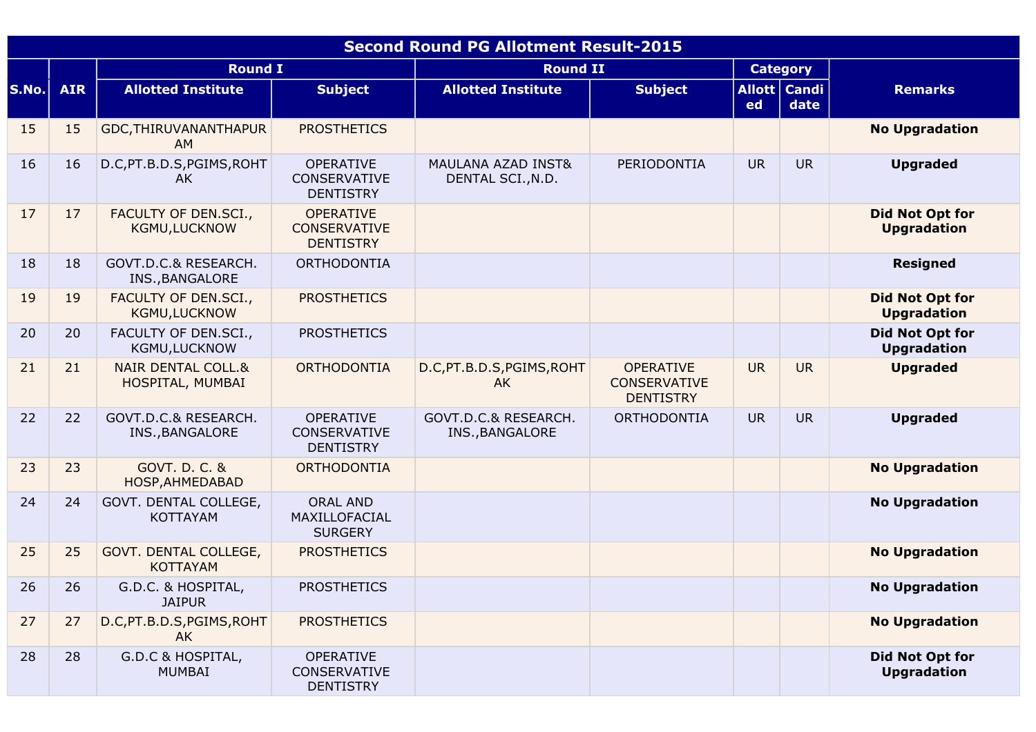|       | <b>Second Round PG Allotment Result-2015</b> |                                                   |                                                             |                                         |                                                             |           |                        |                                              |  |  |  |
|-------|----------------------------------------------|---------------------------------------------------|-------------------------------------------------------------|-----------------------------------------|-------------------------------------------------------------|-----------|------------------------|----------------------------------------------|--|--|--|
|       |                                              | <b>Round I</b>                                    |                                                             | <b>Round II</b>                         |                                                             |           | <b>Category</b>        |                                              |  |  |  |
| S.No. | <b>AIR</b>                                   | <b>Allotted Institute</b>                         | <b>Subject</b>                                              | <b>Allotted Institute</b>               | <b>Subject</b>                                              | ed        | Allott   Candi<br>date | <b>Remarks</b>                               |  |  |  |
| 15    | 15                                           | GDC, THIRUVANANTHAPUR<br><b>AM</b>                | <b>PROSTHETICS</b>                                          |                                         |                                                             |           |                        | <b>No Upgradation</b>                        |  |  |  |
| 16    | 16                                           | D.C, PT.B.D.S, PGIMS, ROHT<br>AK.                 | <b>OPERATIVE</b><br>CONSERVATIVE<br><b>DENTISTRY</b>        | MAULANA AZAD INST&<br>DENTAL SCI., N.D. | PERIODONTIA                                                 | <b>UR</b> | <b>UR</b>              | <b>Upgraded</b>                              |  |  |  |
| 17    | 17                                           | FACULTY OF DEN.SCI.,<br><b>KGMU,LUCKNOW</b>       | <b>OPERATIVE</b><br><b>CONSERVATIVE</b><br><b>DENTISTRY</b> |                                         |                                                             |           |                        | <b>Did Not Opt for</b><br><b>Upgradation</b> |  |  |  |
| 18    | 18                                           | GOVT.D.C.& RESEARCH.<br>INS., BANGALORE           | <b>ORTHODONTIA</b>                                          |                                         |                                                             |           |                        | <b>Resigned</b>                              |  |  |  |
| 19    | 19                                           | FACULTY OF DEN.SCI.,<br><b>KGMU,LUCKNOW</b>       | <b>PROSTHETICS</b>                                          |                                         |                                                             |           |                        | <b>Did Not Opt for</b><br><b>Upgradation</b> |  |  |  |
| 20    | 20                                           | FACULTY OF DEN.SCI.,<br>KGMU,LUCKNOW              | <b>PROSTHETICS</b>                                          |                                         |                                                             |           |                        | <b>Did Not Opt for</b><br><b>Upgradation</b> |  |  |  |
| 21    | 21                                           | <b>NAIR DENTAL COLL.&amp;</b><br>HOSPITAL, MUMBAI | <b>ORTHODONTIA</b>                                          | D.C, PT.B.D.S, PGIMS, ROHT<br>AK        | <b>OPERATIVE</b><br><b>CONSERVATIVE</b><br><b>DENTISTRY</b> | <b>UR</b> | <b>UR</b>              | <b>Upgraded</b>                              |  |  |  |
| 22    | 22                                           | GOVT.D.C.& RESEARCH.<br>INS., BANGALORE           | <b>OPERATIVE</b><br>CONSERVATIVE<br><b>DENTISTRY</b>        | GOVT.D.C.& RESEARCH.<br>INS., BANGALORE | ORTHODONTIA                                                 | <b>UR</b> | <b>UR</b>              | <b>Upgraded</b>                              |  |  |  |
| 23    | 23                                           | GOVT. D. C. &<br>HOSP, AHMEDABAD                  | ORTHODONTIA                                                 |                                         |                                                             |           |                        | <b>No Upgradation</b>                        |  |  |  |
| 24    | 24                                           | GOVT. DENTAL COLLEGE,<br><b>KOTTAYAM</b>          | <b>ORAL AND</b><br>MAXILLOFACIAL<br><b>SURGERY</b>          |                                         |                                                             |           |                        | <b>No Upgradation</b>                        |  |  |  |
| 25    | 25                                           | GOVT. DENTAL COLLEGE,<br><b>KOTTAYAM</b>          | <b>PROSTHETICS</b>                                          |                                         |                                                             |           |                        | <b>No Upgradation</b>                        |  |  |  |
| 26    | 26                                           | G.D.C. & HOSPITAL,<br><b>JAIPUR</b>               | <b>PROSTHETICS</b>                                          |                                         |                                                             |           |                        | <b>No Upgradation</b>                        |  |  |  |
| 27    | 27                                           | D.C, PT.B.D.S, PGIMS, ROHT<br>AK.                 | <b>PROSTHETICS</b>                                          |                                         |                                                             |           |                        | <b>No Upgradation</b>                        |  |  |  |
| 28    | 28                                           | G.D.C & HOSPITAL,<br><b>MUMBAI</b>                | <b>OPERATIVE</b><br><b>CONSERVATIVE</b><br><b>DENTISTRY</b> |                                         |                                                             |           |                        | Did Not Opt for<br><b>Upgradation</b>        |  |  |  |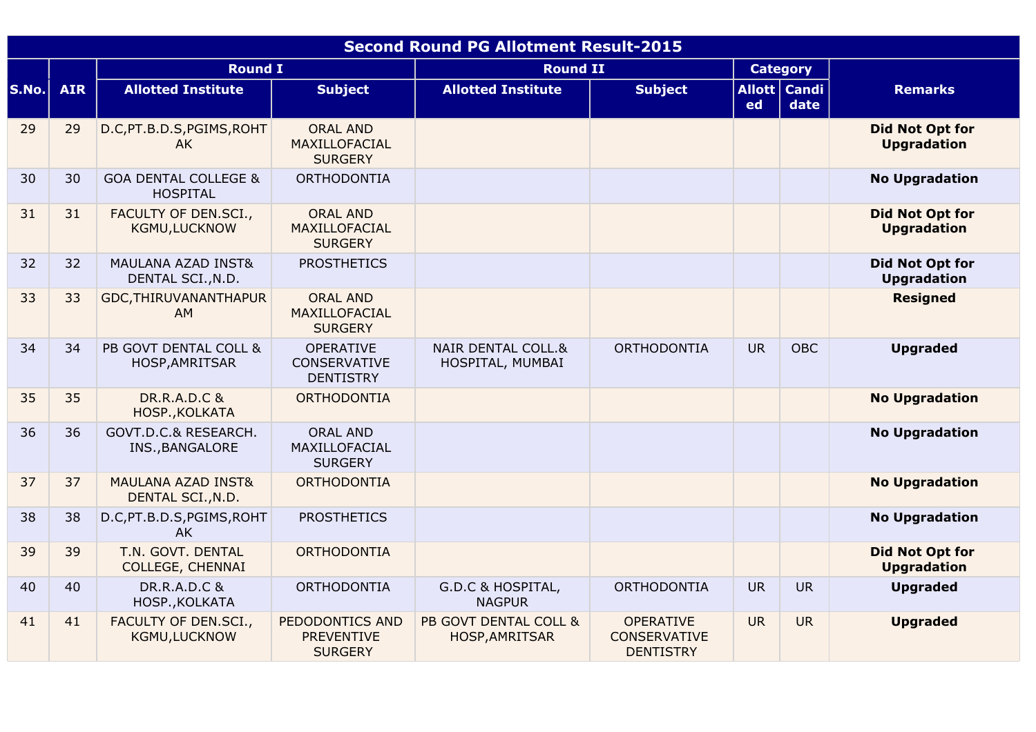|       | <b>Second Round PG Allotment Result-2015</b> |                                                    |                                                           |                                                   |                                                             |           |                        |                                              |  |  |  |
|-------|----------------------------------------------|----------------------------------------------------|-----------------------------------------------------------|---------------------------------------------------|-------------------------------------------------------------|-----------|------------------------|----------------------------------------------|--|--|--|
|       |                                              | <b>Round I</b>                                     |                                                           | <b>Round II</b>                                   |                                                             |           | <b>Category</b>        |                                              |  |  |  |
| S.No. | <b>AIR</b>                                   | <b>Allotted Institute</b>                          | <b>Subject</b>                                            | <b>Allotted Institute</b>                         | <b>Subject</b>                                              | ed        | Allott   Candi<br>date | <b>Remarks</b>                               |  |  |  |
| 29    | 29                                           | D.C, PT.B.D.S, PGIMS, ROHT<br>AK.                  | <b>ORAL AND</b><br>MAXILLOFACIAL<br><b>SURGERY</b>        |                                                   |                                                             |           |                        | <b>Did Not Opt for</b><br><b>Upgradation</b> |  |  |  |
| 30    | 30                                           | <b>GOA DENTAL COLLEGE &amp;</b><br><b>HOSPITAL</b> | ORTHODONTIA                                               |                                                   |                                                             |           |                        | <b>No Upgradation</b>                        |  |  |  |
| 31    | 31                                           | FACULTY OF DEN.SCI.,<br>KGMU,LUCKNOW               | <b>ORAL AND</b><br>MAXILLOFACIAL<br><b>SURGERY</b>        |                                                   |                                                             |           |                        | <b>Did Not Opt for</b><br><b>Upgradation</b> |  |  |  |
| 32    | 32                                           | MAULANA AZAD INST&<br>DENTAL SCI., N.D.            | <b>PROSTHETICS</b>                                        |                                                   |                                                             |           |                        | <b>Did Not Opt for</b><br><b>Upgradation</b> |  |  |  |
| 33    | 33                                           | GDC, THIRUVANANTHAPUR<br>AM                        | <b>ORAL AND</b><br><b>MAXILLOFACIAL</b><br><b>SURGERY</b> |                                                   |                                                             |           |                        | <b>Resigned</b>                              |  |  |  |
| 34    | 34                                           | PB GOVT DENTAL COLL &<br>HOSP, AMRITSAR            | <b>OPERATIVE</b><br>CONSERVATIVE<br><b>DENTISTRY</b>      | <b>NAIR DENTAL COLL.&amp;</b><br>HOSPITAL, MUMBAI | <b>ORTHODONTIA</b>                                          | <b>UR</b> | <b>OBC</b>             | <b>Upgraded</b>                              |  |  |  |
| 35    | 35                                           | <b>DR.R.A.D.C &amp;</b><br>HOSP., KOLKATA          | ORTHODONTIA                                               |                                                   |                                                             |           |                        | <b>No Upgradation</b>                        |  |  |  |
| 36    | 36                                           | GOVT.D.C.& RESEARCH.<br>INS., BANGALORE            | <b>ORAL AND</b><br>MAXILLOFACIAL<br><b>SURGERY</b>        |                                                   |                                                             |           |                        | <b>No Upgradation</b>                        |  |  |  |
| 37    | 37                                           | MAULANA AZAD INST&<br>DENTAL SCI., N.D.            | ORTHODONTIA                                               |                                                   |                                                             |           |                        | <b>No Upgradation</b>                        |  |  |  |
| 38    | 38                                           | D.C, PT.B.D.S, PGIMS, ROHT<br>AK                   | <b>PROSTHETICS</b>                                        |                                                   |                                                             |           |                        | <b>No Upgradation</b>                        |  |  |  |
| 39    | 39                                           | T.N. GOVT. DENTAL<br><b>COLLEGE, CHENNAI</b>       | ORTHODONTIA                                               |                                                   |                                                             |           |                        | <b>Did Not Opt for</b><br><b>Upgradation</b> |  |  |  |
| 40    | 40                                           | <b>DR.R.A.D.C &amp;</b><br>HOSP., KOLKATA          | ORTHODONTIA                                               | G.D.C & HOSPITAL,<br><b>NAGPUR</b>                | ORTHODONTIA                                                 | <b>UR</b> | <b>UR</b>              | <b>Upgraded</b>                              |  |  |  |
| 41    | 41                                           | FACULTY OF DEN.SCI.,<br>KGMU,LUCKNOW               | PEDODONTICS AND<br><b>PREVENTIVE</b><br><b>SURGERY</b>    | PB GOVT DENTAL COLL &<br>HOSP, AMRITSAR           | <b>OPERATIVE</b><br><b>CONSERVATIVE</b><br><b>DENTISTRY</b> | <b>UR</b> | <b>UR</b>              | <b>Upgraded</b>                              |  |  |  |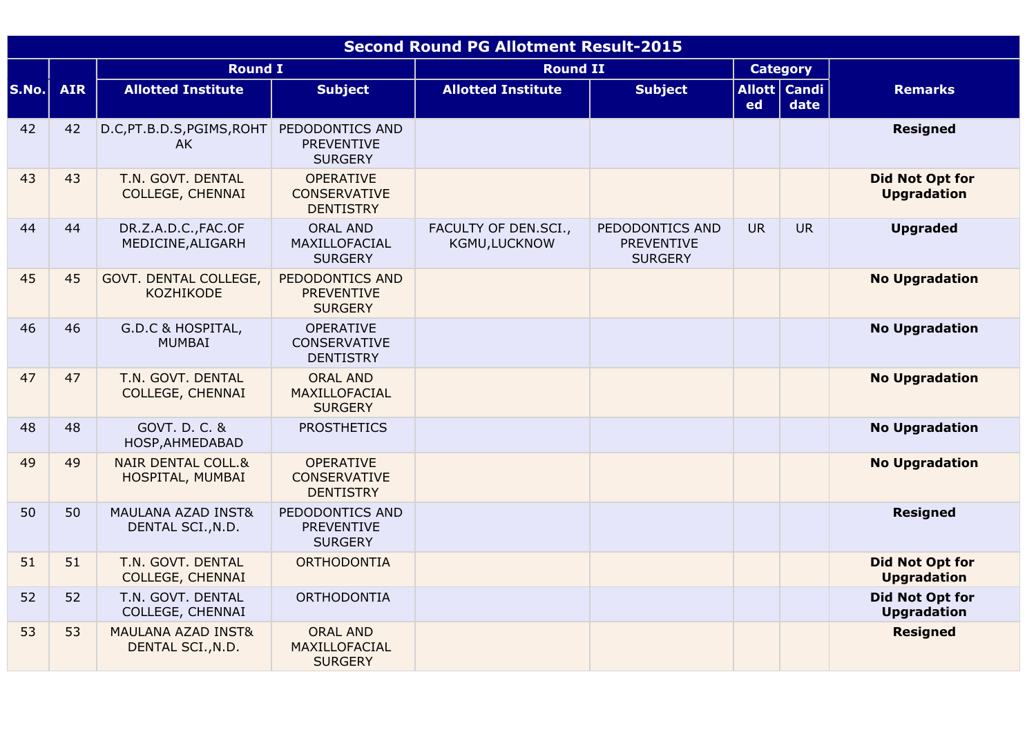|       | <b>Second Round PG Allotment Result-2015</b> |                                                    |                                                             |                                       |                                                        |           |                        |                                              |  |  |  |
|-------|----------------------------------------------|----------------------------------------------------|-------------------------------------------------------------|---------------------------------------|--------------------------------------------------------|-----------|------------------------|----------------------------------------------|--|--|--|
|       |                                              | <b>Round I</b>                                     |                                                             | <b>Round II</b>                       |                                                        |           | <b>Category</b>        |                                              |  |  |  |
| S.No. | <b>AIR</b>                                   | <b>Allotted Institute</b>                          | <b>Subject</b>                                              | <b>Allotted Institute</b>             | <b>Subject</b>                                         | ed        | Allott   Candi<br>date | <b>Remarks</b>                               |  |  |  |
| 42    | 42                                           | D.C, PT.B.D.S, PGIMS, ROHT<br>AK.                  | PEDODONTICS AND<br><b>PREVENTIVE</b><br><b>SURGERY</b>      |                                       |                                                        |           |                        | <b>Resigned</b>                              |  |  |  |
| 43    | 43                                           | T.N. GOVT. DENTAL<br><b>COLLEGE, CHENNAI</b>       | <b>OPERATIVE</b><br><b>CONSERVATIVE</b><br><b>DENTISTRY</b> |                                       |                                                        |           |                        | <b>Did Not Opt for</b><br><b>Upgradation</b> |  |  |  |
| 44    | 44                                           | DR.Z.A.D.C., FAC.OF<br>MEDICINE, ALIGARH           | <b>ORAL AND</b><br>MAXILLOFACIAL<br><b>SURGERY</b>          | FACULTY OF DEN.SCI.,<br>KGMU, LUCKNOW | PEDODONTICS AND<br><b>PREVENTIVE</b><br><b>SURGERY</b> | <b>UR</b> | <b>UR</b>              | <b>Upgraded</b>                              |  |  |  |
| 45    | 45                                           | GOVT. DENTAL COLLEGE,<br><b>KOZHIKODE</b>          | PEDODONTICS AND<br><b>PREVENTIVE</b><br><b>SURGERY</b>      |                                       |                                                        |           |                        | <b>No Upgradation</b>                        |  |  |  |
| 46    | 46                                           | <b>G.D.C &amp; HOSPITAL,</b><br><b>MUMBAI</b>      | <b>OPERATIVE</b><br><b>CONSERVATIVE</b><br><b>DENTISTRY</b> |                                       |                                                        |           |                        | <b>No Upgradation</b>                        |  |  |  |
| 47    | 47                                           | T.N. GOVT. DENTAL<br><b>COLLEGE, CHENNAI</b>       | <b>ORAL AND</b><br>MAXILLOFACIAL<br><b>SURGERY</b>          |                                       |                                                        |           |                        | <b>No Upgradation</b>                        |  |  |  |
| 48    | 48                                           | GOVT. D. C. &<br>HOSP, AHMEDABAD                   | <b>PROSTHETICS</b>                                          |                                       |                                                        |           |                        | <b>No Upgradation</b>                        |  |  |  |
| 49    | 49                                           | <b>NAIR DENTAL COLL.&amp;</b><br>HOSPITAL, MUMBAI  | <b>OPERATIVE</b><br><b>CONSERVATIVE</b><br><b>DENTISTRY</b> |                                       |                                                        |           |                        | <b>No Upgradation</b>                        |  |  |  |
| 50    | 50                                           | MAULANA AZAD INST&<br>DENTAL SCI., N.D.            | PEDODONTICS AND<br><b>PREVENTIVE</b><br><b>SURGERY</b>      |                                       |                                                        |           |                        | <b>Resigned</b>                              |  |  |  |
| 51    | 51                                           | T.N. GOVT. DENTAL<br><b>COLLEGE, CHENNAI</b>       | <b>ORTHODONTIA</b>                                          |                                       |                                                        |           |                        | <b>Did Not Opt for</b><br><b>Upgradation</b> |  |  |  |
| 52    | 52                                           | T.N. GOVT. DENTAL<br>COLLEGE, CHENNAI              | <b>ORTHODONTIA</b>                                          |                                       |                                                        |           |                        | <b>Did Not Opt for</b><br><b>Upgradation</b> |  |  |  |
| 53    | 53                                           | <b>MAULANA AZAD INST&amp;</b><br>DENTAL SCI., N.D. | <b>ORAL AND</b><br>MAXILLOFACIAL<br><b>SURGERY</b>          |                                       |                                                        |           |                        | <b>Resigned</b>                              |  |  |  |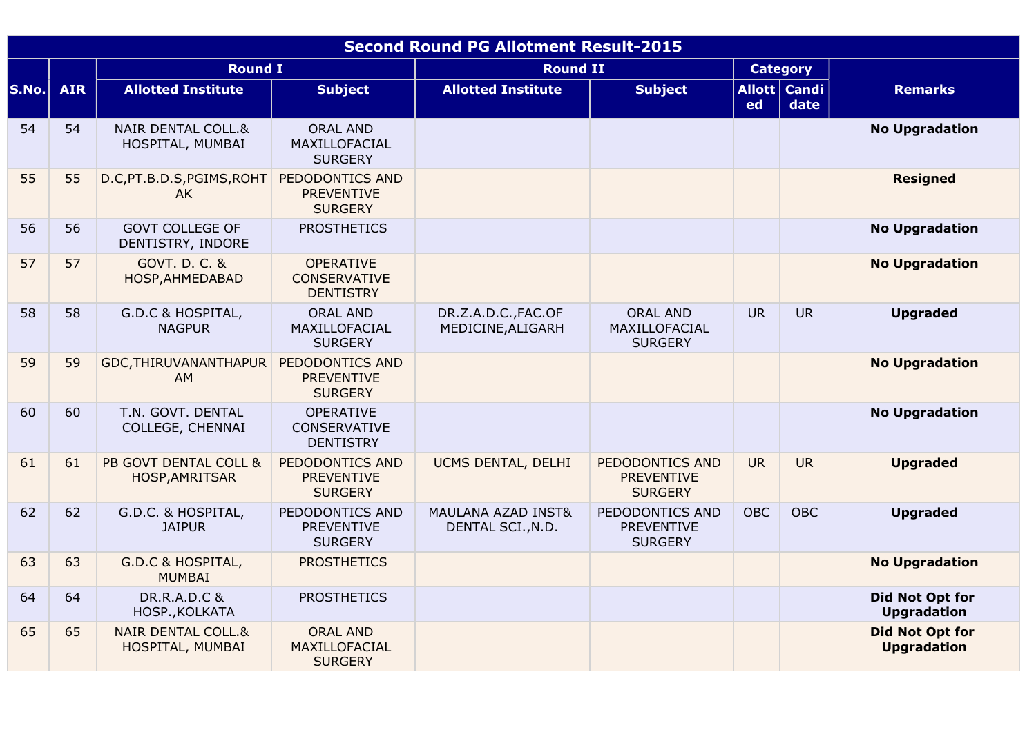|       | <b>Second Round PG Allotment Result-2015</b> |                                                   |                                                             |                                          |                                                        |                 |                        |                                              |  |  |  |
|-------|----------------------------------------------|---------------------------------------------------|-------------------------------------------------------------|------------------------------------------|--------------------------------------------------------|-----------------|------------------------|----------------------------------------------|--|--|--|
|       |                                              | <b>Round I</b>                                    |                                                             | <b>Round II</b>                          |                                                        | <b>Category</b> |                        |                                              |  |  |  |
| S.No. | <b>AIR</b>                                   | <b>Allotted Institute</b>                         | <b>Subject</b>                                              | <b>Allotted Institute</b>                | <b>Subject</b>                                         | ed              | Allott   Candi<br>date | <b>Remarks</b>                               |  |  |  |
| 54    | 54                                           | <b>NAIR DENTAL COLL.&amp;</b><br>HOSPITAL, MUMBAI | <b>ORAL AND</b><br>MAXILLOFACIAL<br><b>SURGERY</b>          |                                          |                                                        |                 |                        | <b>No Upgradation</b>                        |  |  |  |
| 55    | 55                                           | D.C, PT.B.D.S, PGIMS, ROHT<br>AK.                 | PEDODONTICS AND<br><b>PREVENTIVE</b><br><b>SURGERY</b>      |                                          |                                                        |                 |                        | <b>Resigned</b>                              |  |  |  |
| 56    | 56                                           | <b>GOVT COLLEGE OF</b><br>DENTISTRY, INDORE       | <b>PROSTHETICS</b>                                          |                                          |                                                        |                 |                        | <b>No Upgradation</b>                        |  |  |  |
| 57    | 57                                           | GOVT. D. C. &<br>HOSP, AHMEDABAD                  | <b>OPERATIVE</b><br><b>CONSERVATIVE</b><br><b>DENTISTRY</b> |                                          |                                                        |                 |                        | <b>No Upgradation</b>                        |  |  |  |
| 58    | 58                                           | <b>G.D.C &amp; HOSPITAL,</b><br><b>NAGPUR</b>     | <b>ORAL AND</b><br>MAXILLOFACIAL<br><b>SURGERY</b>          | DR.Z.A.D.C., FAC.OF<br>MEDICINE, ALIGARH | <b>ORAL AND</b><br>MAXILLOFACIAL<br><b>SURGERY</b>     | <b>UR</b>       | <b>UR</b>              | <b>Upgraded</b>                              |  |  |  |
| 59    | 59                                           | GDC, THIRUVANANTHAPUR<br>AM                       | PEDODONTICS AND<br><b>PREVENTIVE</b><br><b>SURGERY</b>      |                                          |                                                        |                 |                        | <b>No Upgradation</b>                        |  |  |  |
| 60    | 60                                           | T.N. GOVT. DENTAL<br>COLLEGE, CHENNAI             | <b>OPERATIVE</b><br>CONSERVATIVE<br><b>DENTISTRY</b>        |                                          |                                                        |                 |                        | <b>No Upgradation</b>                        |  |  |  |
| 61    | 61                                           | PB GOVT DENTAL COLL &<br>HOSP, AMRITSAR           | PEDODONTICS AND<br><b>PREVENTIVE</b><br><b>SURGERY</b>      | UCMS DENTAL, DELHI                       | PEDODONTICS AND<br><b>PREVENTIVE</b><br><b>SURGERY</b> | <b>UR</b>       | <b>UR</b>              | <b>Upgraded</b>                              |  |  |  |
| 62    | 62                                           | G.D.C. & HOSPITAL,<br><b>JAIPUR</b>               | PEDODONTICS AND<br><b>PREVENTIVE</b><br><b>SURGERY</b>      | MAULANA AZAD INST&<br>DENTAL SCI., N.D.  | PEDODONTICS AND<br><b>PREVENTIVE</b><br><b>SURGERY</b> | <b>OBC</b>      | <b>OBC</b>             | <b>Upgraded</b>                              |  |  |  |
| 63    | 63                                           | <b>G.D.C &amp; HOSPITAL,</b><br><b>MUMBAI</b>     | <b>PROSTHETICS</b>                                          |                                          |                                                        |                 |                        | <b>No Upgradation</b>                        |  |  |  |
| 64    | 64                                           | <b>DR.R.A.D.C &amp;</b><br>HOSP., KOLKATA         | <b>PROSTHETICS</b>                                          |                                          |                                                        |                 |                        | <b>Did Not Opt for</b><br><b>Upgradation</b> |  |  |  |
| 65    | 65                                           | <b>NAIR DENTAL COLL.&amp;</b><br>HOSPITAL, MUMBAI | <b>ORAL AND</b><br>MAXILLOFACIAL<br><b>SURGERY</b>          |                                          |                                                        |                 |                        | <b>Did Not Opt for</b><br><b>Upgradation</b> |  |  |  |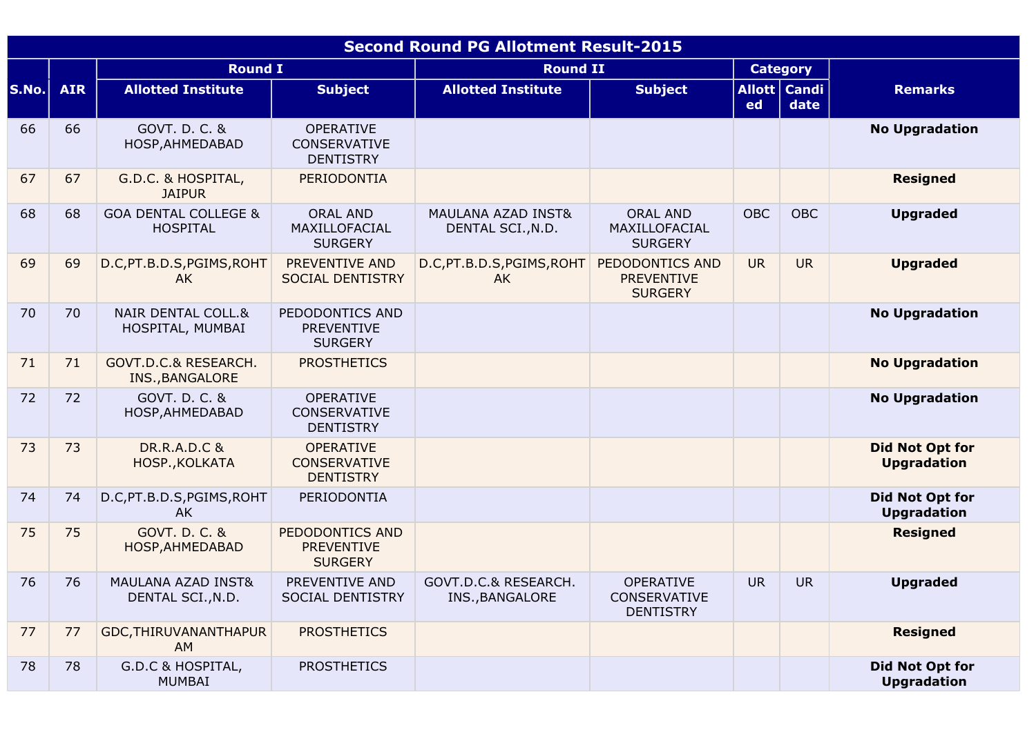|       | <b>Second Round PG Allotment Result-2015</b> |                                                    |                                                             |                                         |                                                        |            |                        |                                              |  |  |  |
|-------|----------------------------------------------|----------------------------------------------------|-------------------------------------------------------------|-----------------------------------------|--------------------------------------------------------|------------|------------------------|----------------------------------------------|--|--|--|
|       |                                              | <b>Round I</b>                                     |                                                             | <b>Round II</b>                         |                                                        |            | <b>Category</b>        |                                              |  |  |  |
| S.No. | <b>AIR</b>                                   | <b>Allotted Institute</b>                          | <b>Subject</b>                                              | <b>Allotted Institute</b>               | <b>Subject</b>                                         | ed         | Allott   Candi<br>date | <b>Remarks</b>                               |  |  |  |
| 66    | 66                                           | GOVT. D. C. &<br>HOSP, AHMEDABAD                   | <b>OPERATIVE</b><br>CONSERVATIVE<br><b>DENTISTRY</b>        |                                         |                                                        |            |                        | <b>No Upgradation</b>                        |  |  |  |
| 67    | 67                                           | G.D.C. & HOSPITAL,<br><b>JAIPUR</b>                | PERIODONTIA                                                 |                                         |                                                        |            |                        | <b>Resigned</b>                              |  |  |  |
| 68    | 68                                           | <b>GOA DENTAL COLLEGE &amp;</b><br><b>HOSPITAL</b> | <b>ORAL AND</b><br>MAXILLOFACIAL<br><b>SURGERY</b>          | MAULANA AZAD INST&<br>DENTAL SCI., N.D. | <b>ORAL AND</b><br>MAXILLOFACIAL<br><b>SURGERY</b>     | <b>OBC</b> | OBC                    | <b>Upgraded</b>                              |  |  |  |
| 69    | 69                                           | D.C, PT.B.D.S, PGIMS, ROHT<br>AK.                  | PREVENTIVE AND<br><b>SOCIAL DENTISTRY</b>                   | D.C, PT.B.D.S, PGIMS, ROHT<br>AK.       | PEDODONTICS AND<br><b>PREVENTIVE</b><br><b>SURGERY</b> | <b>UR</b>  | <b>UR</b>              | <b>Upgraded</b>                              |  |  |  |
| 70    | 70                                           | <b>NAIR DENTAL COLL.&amp;</b><br>HOSPITAL, MUMBAI  | PEDODONTICS AND<br><b>PREVENTIVE</b><br><b>SURGERY</b>      |                                         |                                                        |            |                        | <b>No Upgradation</b>                        |  |  |  |
| 71    | 71                                           | GOVT.D.C.& RESEARCH.<br>INS., BANGALORE            | <b>PROSTHETICS</b>                                          |                                         |                                                        |            |                        | <b>No Upgradation</b>                        |  |  |  |
| 72    | 72                                           | GOVT. D. C. &<br>HOSP, AHMEDABAD                   | <b>OPERATIVE</b><br>CONSERVATIVE<br><b>DENTISTRY</b>        |                                         |                                                        |            |                        | <b>No Upgradation</b>                        |  |  |  |
| 73    | 73                                           | <b>DR.R.A.D.C &amp;</b><br>HOSP., KOLKATA          | <b>OPERATIVE</b><br><b>CONSERVATIVE</b><br><b>DENTISTRY</b> |                                         |                                                        |            |                        | <b>Did Not Opt for</b><br><b>Upgradation</b> |  |  |  |
| 74    | 74                                           | D.C, PT.B.D.S, PGIMS, ROHT<br>AK                   | PERIODONTIA                                                 |                                         |                                                        |            |                        | Did Not Opt for<br><b>Upgradation</b>        |  |  |  |
| 75    | 75                                           | GOVT. D. C. &<br>HOSP, AHMEDABAD                   | PEDODONTICS AND<br><b>PREVENTIVE</b><br><b>SURGERY</b>      |                                         |                                                        |            |                        | <b>Resigned</b>                              |  |  |  |
| 76    | 76                                           | <b>MAULANA AZAD INST&amp;</b><br>DENTAL SCI., N.D. | PREVENTIVE AND<br>SOCIAL DENTISTRY                          | GOVT.D.C.& RESEARCH.<br>INS., BANGALORE | OPERATIVE<br>CONSERVATIVE<br><b>DENTISTRY</b>          | <b>UR</b>  | <b>UR</b>              | <b>Upgraded</b>                              |  |  |  |
| 77    | 77                                           | GDC, THIRUVANANTHAPUR<br>AM                        | <b>PROSTHETICS</b>                                          |                                         |                                                        |            |                        | <b>Resigned</b>                              |  |  |  |
| 78    | 78                                           | G.D.C & HOSPITAL,<br><b>MUMBAI</b>                 | <b>PROSTHETICS</b>                                          |                                         |                                                        |            |                        | Did Not Opt for<br><b>Upgradation</b>        |  |  |  |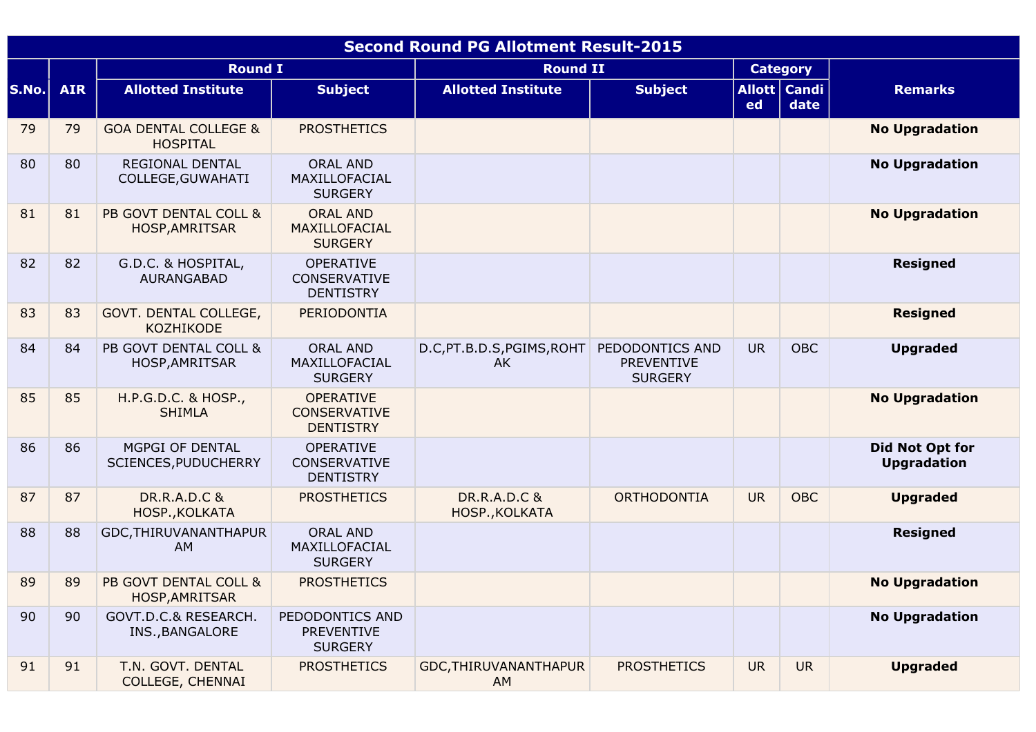|       | <b>Second Round PG Allotment Result-2015</b> |                                                    |                                                             |                                           |                                                        |           |                        |                                       |  |  |  |
|-------|----------------------------------------------|----------------------------------------------------|-------------------------------------------------------------|-------------------------------------------|--------------------------------------------------------|-----------|------------------------|---------------------------------------|--|--|--|
|       |                                              | <b>Round I</b>                                     |                                                             | <b>Round II</b>                           |                                                        |           | <b>Category</b>        |                                       |  |  |  |
| S.No. | <b>AIR</b>                                   | <b>Allotted Institute</b>                          | <b>Subject</b>                                              | <b>Allotted Institute</b>                 | <b>Subject</b>                                         | ed        | Allott   Candi<br>date | <b>Remarks</b>                        |  |  |  |
| 79    | 79                                           | <b>GOA DENTAL COLLEGE &amp;</b><br><b>HOSPITAL</b> | <b>PROSTHETICS</b>                                          |                                           |                                                        |           |                        | <b>No Upgradation</b>                 |  |  |  |
| 80    | 80                                           | <b>REGIONAL DENTAL</b><br>COLLEGE, GUWAHATI        | <b>ORAL AND</b><br>MAXILLOFACIAL<br><b>SURGERY</b>          |                                           |                                                        |           |                        | <b>No Upgradation</b>                 |  |  |  |
| 81    | 81                                           | PB GOVT DENTAL COLL &<br>HOSP, AMRITSAR            | <b>ORAL AND</b><br>MAXILLOFACIAL<br><b>SURGERY</b>          |                                           |                                                        |           |                        | <b>No Upgradation</b>                 |  |  |  |
| 82    | 82                                           | G.D.C. & HOSPITAL,<br>AURANGABAD                   | <b>OPERATIVE</b><br><b>CONSERVATIVE</b><br><b>DENTISTRY</b> |                                           |                                                        |           |                        | <b>Resigned</b>                       |  |  |  |
| 83    | 83                                           | GOVT. DENTAL COLLEGE,<br><b>KOZHIKODE</b>          | PERIODONTIA                                                 |                                           |                                                        |           |                        | <b>Resigned</b>                       |  |  |  |
| 84    | 84                                           | PB GOVT DENTAL COLL &<br>HOSP, AMRITSAR            | <b>ORAL AND</b><br>MAXILLOFACIAL<br><b>SURGERY</b>          | D.C, PT.B.D.S, PGIMS, ROHT<br><b>AK</b>   | PEDODONTICS AND<br><b>PREVENTIVE</b><br><b>SURGERY</b> | <b>UR</b> | <b>OBC</b>             | <b>Upgraded</b>                       |  |  |  |
| 85    | 85                                           | H.P.G.D.C. & HOSP.,<br><b>SHIMLA</b>               | <b>OPERATIVE</b><br><b>CONSERVATIVE</b><br><b>DENTISTRY</b> |                                           |                                                        |           |                        | <b>No Upgradation</b>                 |  |  |  |
| 86    | 86                                           | MGPGI OF DENTAL<br>SCIENCES, PUDUCHERRY            | <b>OPERATIVE</b><br><b>CONSERVATIVE</b><br><b>DENTISTRY</b> |                                           |                                                        |           |                        | Did Not Opt for<br><b>Upgradation</b> |  |  |  |
| 87    | 87                                           | <b>DR.R.A.D.C &amp;</b><br>HOSP., KOLKATA          | <b>PROSTHETICS</b>                                          | <b>DR.R.A.D.C &amp;</b><br>HOSP., KOLKATA | <b>ORTHODONTIA</b>                                     | <b>UR</b> | <b>OBC</b>             | <b>Upgraded</b>                       |  |  |  |
| 88    | 88                                           | GDC, THIRUVANANTHAPUR<br>AM                        | <b>ORAL AND</b><br>MAXILLOFACIAL<br><b>SURGERY</b>          |                                           |                                                        |           |                        | <b>Resigned</b>                       |  |  |  |
| 89    | 89                                           | PB GOVT DENTAL COLL &<br>HOSP, AMRITSAR            | <b>PROSTHETICS</b>                                          |                                           |                                                        |           |                        | <b>No Upgradation</b>                 |  |  |  |
| 90    | 90                                           | GOVT.D.C.& RESEARCH.<br>INS., BANGALORE            | PEDODONTICS AND<br><b>PREVENTIVE</b><br><b>SURGERY</b>      |                                           |                                                        |           |                        | <b>No Upgradation</b>                 |  |  |  |
| 91    | 91                                           | T.N. GOVT. DENTAL<br>COLLEGE, CHENNAI              | <b>PROSTHETICS</b>                                          | GDC, THIRUVANANTHAPUR<br>AM               | <b>PROSTHETICS</b>                                     | <b>UR</b> | <b>UR</b>              | <b>Upgraded</b>                       |  |  |  |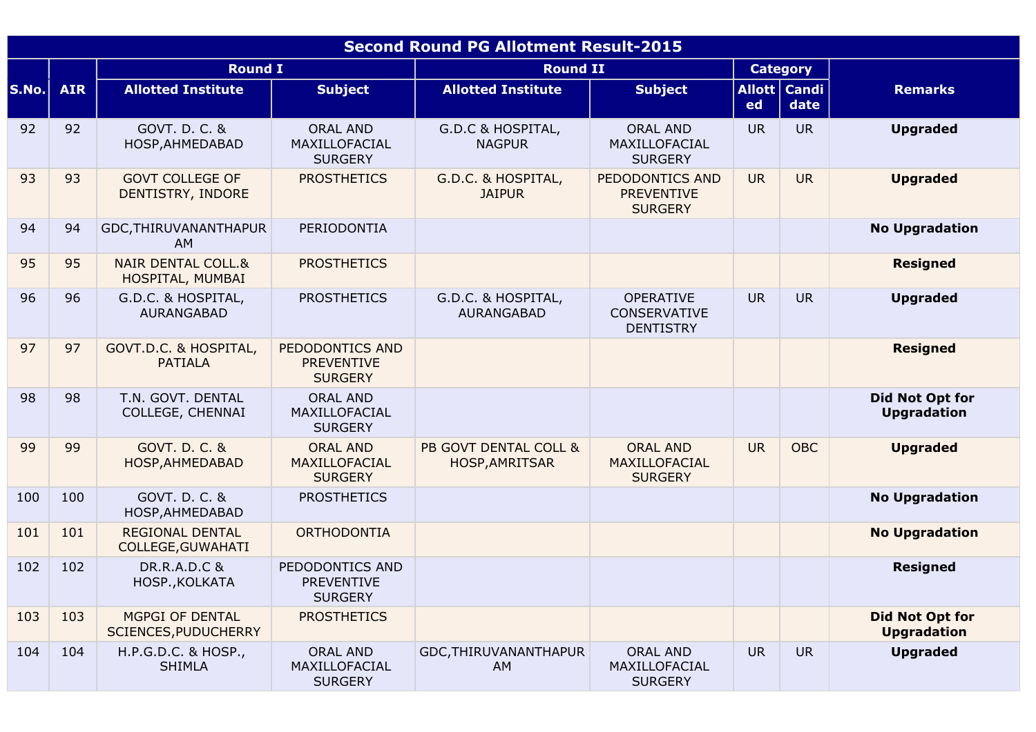|       | <b>Second Round PG Allotment Result-2015</b> |                                                    |                                                        |                                         |                                                        |           |                        |                                              |  |  |  |
|-------|----------------------------------------------|----------------------------------------------------|--------------------------------------------------------|-----------------------------------------|--------------------------------------------------------|-----------|------------------------|----------------------------------------------|--|--|--|
|       |                                              | <b>Round I</b>                                     |                                                        | <b>Round II</b>                         |                                                        |           | <b>Category</b>        |                                              |  |  |  |
| S.No. | <b>AIR</b>                                   | <b>Allotted Institute</b>                          | <b>Subject</b>                                         | <b>Allotted Institute</b>               | <b>Subject</b>                                         | ed        | Allott   Candi<br>date | <b>Remarks</b>                               |  |  |  |
| 92    | 92                                           | GOVT. D. C. &<br>HOSP, AHMEDABAD                   | <b>ORAL AND</b><br>MAXILLOFACIAL<br><b>SURGERY</b>     | G.D.C & HOSPITAL,<br><b>NAGPUR</b>      | <b>ORAL AND</b><br>MAXILLOFACIAL<br><b>SURGERY</b>     | <b>UR</b> | <b>UR</b>              | <b>Upgraded</b>                              |  |  |  |
| 93    | 93                                           | <b>GOVT COLLEGE OF</b><br>DENTISTRY, INDORE        | <b>PROSTHETICS</b>                                     | G.D.C. & HOSPITAL,<br><b>JAIPUR</b>     | PEDODONTICS AND<br><b>PREVENTIVE</b><br><b>SURGERY</b> | <b>UR</b> | <b>UR</b>              | <b>Upgraded</b>                              |  |  |  |
| 94    | 94                                           | GDC, THIRUVANANTHAPUR<br>AM                        | PERIODONTIA                                            |                                         |                                                        |           |                        | <b>No Upgradation</b>                        |  |  |  |
| 95    | 95                                           | <b>NAIR DENTAL COLL.&amp;</b><br>HOSPITAL, MUMBAI  | <b>PROSTHETICS</b>                                     |                                         |                                                        |           |                        | <b>Resigned</b>                              |  |  |  |
| 96    | 96                                           | G.D.C. & HOSPITAL,<br><b>AURANGABAD</b>            | <b>PROSTHETICS</b>                                     | G.D.C. & HOSPITAL,<br>AURANGABAD        | <b>OPERATIVE</b><br>CONSERVATIVE<br><b>DENTISTRY</b>   | <b>UR</b> | <b>UR</b>              | <b>Upgraded</b>                              |  |  |  |
| 97    | 97                                           | GOVT.D.C. & HOSPITAL,<br><b>PATIALA</b>            | PEDODONTICS AND<br><b>PREVENTIVE</b><br><b>SURGERY</b> |                                         |                                                        |           |                        | <b>Resigned</b>                              |  |  |  |
| 98    | 98                                           | T.N. GOVT. DENTAL<br>COLLEGE, CHENNAI              | <b>ORAL AND</b><br>MAXILLOFACIAL<br><b>SURGERY</b>     |                                         |                                                        |           |                        | <b>Did Not Opt for</b><br><b>Upgradation</b> |  |  |  |
| 99    | 99                                           | GOVT. D. C. &<br>HOSP, AHMEDABAD                   | <b>ORAL AND</b><br>MAXILLOFACIAL<br><b>SURGERY</b>     | PB GOVT DENTAL COLL &<br>HOSP, AMRITSAR | <b>ORAL AND</b><br>MAXILLOFACIAL<br><b>SURGERY</b>     | <b>UR</b> | <b>OBC</b>             | <b>Upgraded</b>                              |  |  |  |
| 100   | 100                                          | GOVT. D. C. &<br>HOSP, AHMEDABAD                   | <b>PROSTHETICS</b>                                     |                                         |                                                        |           |                        | <b>No Upgradation</b>                        |  |  |  |
| 101   | 101                                          | <b>REGIONAL DENTAL</b><br><b>COLLEGE, GUWAHATI</b> | <b>ORTHODONTIA</b>                                     |                                         |                                                        |           |                        | <b>No Upgradation</b>                        |  |  |  |
| 102   | 102                                          | DR.R.A.D.C &<br>HOSP., KOLKATA                     | PEDODONTICS AND<br><b>PREVENTIVE</b><br><b>SURGERY</b> |                                         |                                                        |           |                        | <b>Resigned</b>                              |  |  |  |
| 103   | 103                                          | MGPGI OF DENTAL<br>SCIENCES, PUDUCHERRY            | <b>PROSTHETICS</b>                                     |                                         |                                                        |           |                        | <b>Did Not Opt for</b><br><b>Upgradation</b> |  |  |  |
| 104   | 104                                          | H.P.G.D.C. & HOSP.,<br><b>SHIMLA</b>               | <b>ORAL AND</b><br>MAXILLOFACIAL<br><b>SURGERY</b>     | GDC, THIRUVANANTHAPUR<br>AM             | <b>ORAL AND</b><br>MAXILLOFACIAL<br><b>SURGERY</b>     | <b>UR</b> | <b>UR</b>              | <b>Upgraded</b>                              |  |  |  |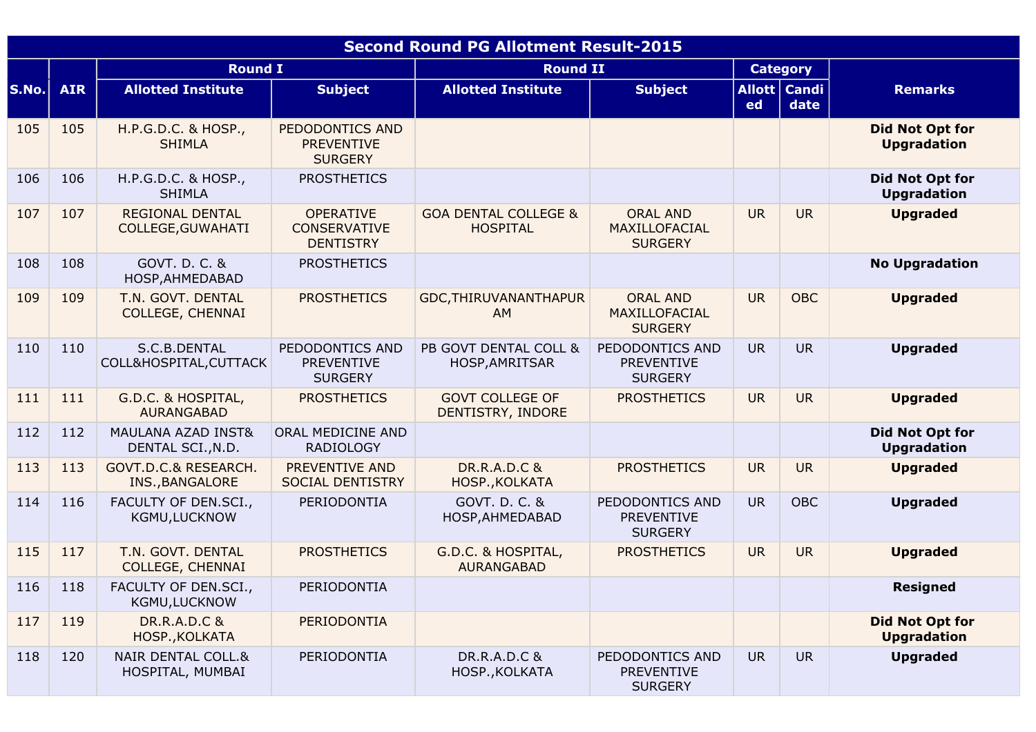|       | <b>Second Round PG Allotment Result-2015</b> |                                              |                                                             |                                                    |                                                        |           |                        |                                              |  |  |  |
|-------|----------------------------------------------|----------------------------------------------|-------------------------------------------------------------|----------------------------------------------------|--------------------------------------------------------|-----------|------------------------|----------------------------------------------|--|--|--|
|       |                                              | <b>Round I</b>                               |                                                             | <b>Round II</b>                                    |                                                        |           | <b>Category</b>        |                                              |  |  |  |
| S.No. | <b>AIR</b>                                   | <b>Allotted Institute</b>                    | <b>Subject</b>                                              | <b>Allotted Institute</b>                          | <b>Subject</b>                                         | ed        | Allott   Candi<br>date | <b>Remarks</b>                               |  |  |  |
| 105   | 105                                          | H.P.G.D.C. & HOSP.,<br><b>SHIMLA</b>         | PEDODONTICS AND<br><b>PREVENTIVE</b><br><b>SURGERY</b>      |                                                    |                                                        |           |                        | <b>Did Not Opt for</b><br><b>Upgradation</b> |  |  |  |
| 106   | 106                                          | H.P.G.D.C. & HOSP.,<br><b>SHIMLA</b>         | <b>PROSTHETICS</b>                                          |                                                    |                                                        |           |                        | Did Not Opt for<br><b>Upgradation</b>        |  |  |  |
| 107   | 107                                          | <b>REGIONAL DENTAL</b><br>COLLEGE, GUWAHATI  | <b>OPERATIVE</b><br><b>CONSERVATIVE</b><br><b>DENTISTRY</b> | <b>GOA DENTAL COLLEGE &amp;</b><br><b>HOSPITAL</b> | <b>ORAL AND</b><br>MAXILLOFACIAL<br><b>SURGERY</b>     | <b>UR</b> | <b>UR</b>              | <b>Upgraded</b>                              |  |  |  |
| 108   | 108                                          | GOVT. D. C. &<br>HOSP, AHMEDABAD             | <b>PROSTHETICS</b>                                          |                                                    |                                                        |           |                        | <b>No Upgradation</b>                        |  |  |  |
| 109   | 109                                          | T.N. GOVT. DENTAL<br><b>COLLEGE, CHENNAI</b> | <b>PROSTHETICS</b>                                          | GDC, THIRUVANANTHAPUR<br>AM                        | <b>ORAL AND</b><br>MAXILLOFACIAL<br><b>SURGERY</b>     | <b>UR</b> | <b>OBC</b>             | <b>Upgraded</b>                              |  |  |  |
| 110   | 110                                          | S.C.B.DENTAL<br>COLL&HOSPITAL, CUTTACK       | PEDODONTICS AND<br><b>PREVENTIVE</b><br><b>SURGERY</b>      | PB GOVT DENTAL COLL &<br>HOSP, AMRITSAR            | PEDODONTICS AND<br><b>PREVENTIVE</b><br><b>SURGERY</b> | <b>UR</b> | <b>UR</b>              | <b>Upgraded</b>                              |  |  |  |
| 111   | 111                                          | G.D.C. & HOSPITAL,<br>AURANGABAD             | <b>PROSTHETICS</b>                                          | <b>GOVT COLLEGE OF</b><br>DENTISTRY, INDORE        | <b>PROSTHETICS</b>                                     | <b>UR</b> | <b>UR</b>              | <b>Upgraded</b>                              |  |  |  |
| 112   | 112                                          | MAULANA AZAD INST&<br>DENTAL SCI., N.D.      | ORAL MEDICINE AND<br><b>RADIOLOGY</b>                       |                                                    |                                                        |           |                        | Did Not Opt for<br><b>Upgradation</b>        |  |  |  |
| 113   | 113                                          | GOVT.D.C.& RESEARCH.<br>INS., BANGALORE      | PREVENTIVE AND<br><b>SOCIAL DENTISTRY</b>                   | <b>DR.R.A.D.C &amp;</b><br>HOSP., KOLKATA          | <b>PROSTHETICS</b>                                     | <b>UR</b> | <b>UR</b>              | <b>Upgraded</b>                              |  |  |  |
| 114   | 116                                          | FACULTY OF DEN.SCI.,<br>KGMU, LUCKNOW        | PERIODONTIA                                                 | GOVT. D. C. &<br>HOSP, AHMEDABAD                   | PEDODONTICS AND<br><b>PREVENTIVE</b><br><b>SURGERY</b> | <b>UR</b> | <b>OBC</b>             | <b>Upgraded</b>                              |  |  |  |
| 115   | 117                                          | T.N. GOVT. DENTAL<br><b>COLLEGE, CHENNAI</b> | <b>PROSTHETICS</b>                                          | G.D.C. & HOSPITAL,<br><b>AURANGABAD</b>            | <b>PROSTHETICS</b>                                     | <b>UR</b> | <b>UR</b>              | <b>Upgraded</b>                              |  |  |  |
| 116   | 118                                          | FACULTY OF DEN.SCI.,<br>KGMU,LUCKNOW         | PERIODONTIA                                                 |                                                    |                                                        |           |                        | <b>Resigned</b>                              |  |  |  |
| 117   | 119                                          | <b>DR.R.A.D.C &amp;</b><br>HOSP., KOLKATA    | PERIODONTIA                                                 |                                                    |                                                        |           |                        | <b>Did Not Opt for</b><br><b>Upgradation</b> |  |  |  |
| 118   | 120                                          | NAIR DENTAL COLL.&<br>HOSPITAL, MUMBAI       | PERIODONTIA                                                 | <b>DR.R.A.D.C &amp;</b><br>HOSP., KOLKATA          | PEDODONTICS AND<br><b>PREVENTIVE</b><br><b>SURGERY</b> | <b>UR</b> | <b>UR</b>              | <b>Upgraded</b>                              |  |  |  |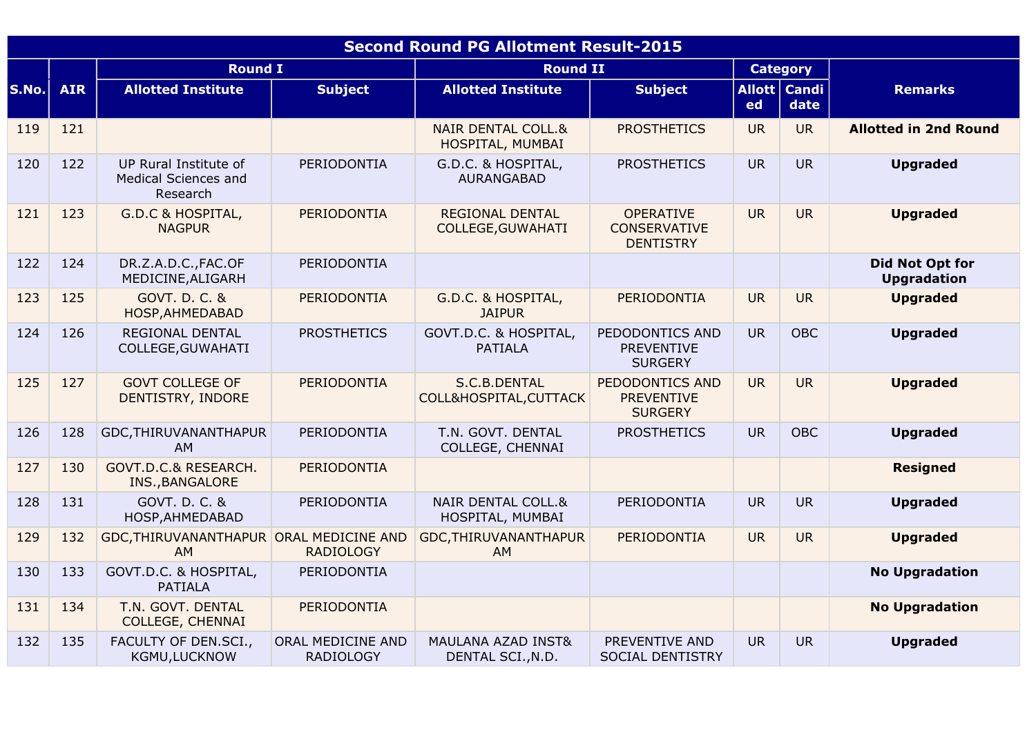|       | <b>Second Round PG Allotment Result-2015</b> |                                                                  |                                       |                                                   |                                                             |           |                        |                                       |  |  |  |
|-------|----------------------------------------------|------------------------------------------------------------------|---------------------------------------|---------------------------------------------------|-------------------------------------------------------------|-----------|------------------------|---------------------------------------|--|--|--|
|       |                                              | <b>Round I</b>                                                   |                                       | <b>Round II</b>                                   |                                                             |           | <b>Category</b>        |                                       |  |  |  |
| S.No. | <b>AIR</b>                                   | <b>Allotted Institute</b>                                        | <b>Subject</b>                        | <b>Allotted Institute</b>                         | <b>Subject</b>                                              | ed        | Allott   Candi<br>date | <b>Remarks</b>                        |  |  |  |
| 119   | 121                                          |                                                                  |                                       | <b>NAIR DENTAL COLL.&amp;</b><br>HOSPITAL, MUMBAI | <b>PROSTHETICS</b>                                          | <b>UR</b> | <b>UR</b>              | <b>Allotted in 2nd Round</b>          |  |  |  |
| 120   | 122                                          | UP Rural Institute of<br><b>Medical Sciences and</b><br>Research | PERIODONTIA                           | G.D.C. & HOSPITAL,<br><b>AURANGABAD</b>           | <b>PROSTHETICS</b>                                          | <b>UR</b> | <b>UR</b>              | <b>Upgraded</b>                       |  |  |  |
| 121   | 123                                          | <b>G.D.C &amp; HOSPITAL,</b><br><b>NAGPUR</b>                    | PERIODONTIA                           | REGIONAL DENTAL<br>COLLEGE, GUWAHATI              | <b>OPERATIVE</b><br><b>CONSERVATIVE</b><br><b>DENTISTRY</b> | <b>UR</b> | <b>UR</b>              | <b>Upgraded</b>                       |  |  |  |
| 122   | 124                                          | DR.Z.A.D.C., FAC.OF<br>MEDICINE, ALIGARH                         | PERIODONTIA                           |                                                   |                                                             |           |                        | Did Not Opt for<br><b>Upgradation</b> |  |  |  |
| 123   | 125                                          | GOVT. D. C. &<br>HOSP, AHMEDABAD                                 | PERIODONTIA                           | G.D.C. & HOSPITAL,<br><b>JAIPUR</b>               | PERIODONTIA                                                 | <b>UR</b> | <b>UR</b>              | <b>Upgraded</b>                       |  |  |  |
| 124   | 126                                          | <b>REGIONAL DENTAL</b><br>COLLEGE, GUWAHATI                      | <b>PROSTHETICS</b>                    | GOVT.D.C. & HOSPITAL,<br><b>PATIALA</b>           | PEDODONTICS AND<br><b>PREVENTIVE</b><br><b>SURGERY</b>      | <b>UR</b> | <b>OBC</b>             | <b>Upgraded</b>                       |  |  |  |
| 125   | 127                                          | <b>GOVT COLLEGE OF</b><br>DENTISTRY, INDORE                      | PERIODONTIA                           | S.C.B.DENTAL<br>COLL&HOSPITAL, CUTTACK            | PEDODONTICS AND<br><b>PREVENTIVE</b><br><b>SURGERY</b>      | <b>UR</b> | <b>UR</b>              | <b>Upgraded</b>                       |  |  |  |
| 126   | 128                                          | GDC, THIRUVANANTHAPUR<br><b>AM</b>                               | PERIODONTIA                           | T.N. GOVT. DENTAL<br>COLLEGE, CHENNAI             | <b>PROSTHETICS</b>                                          | <b>UR</b> | <b>OBC</b>             | <b>Upgraded</b>                       |  |  |  |
| 127   | 130                                          | GOVT.D.C.& RESEARCH.<br>INS., BANGALORE                          | PERIODONTIA                           |                                                   |                                                             |           |                        | <b>Resigned</b>                       |  |  |  |
| 128   | 131                                          | GOVT. D. C. &<br>HOSP, AHMEDABAD                                 | PERIODONTIA                           | <b>NAIR DENTAL COLL.&amp;</b><br>HOSPITAL, MUMBAI | PERIODONTIA                                                 | <b>UR</b> | <b>UR</b>              | <b>Upgraded</b>                       |  |  |  |
| 129   | 132                                          | GDC, THIRUVANANTHAPUR ORAL MEDICINE AND<br><b>AM</b>             | <b>RADIOLOGY</b>                      | GDC, THIRUVANANTHAPUR<br><b>AM</b>                | PERIODONTIA                                                 | <b>UR</b> | <b>UR</b>              | <b>Upgraded</b>                       |  |  |  |
| 130   | 133                                          | GOVT.D.C. & HOSPITAL,<br><b>PATIALA</b>                          | PERIODONTIA                           |                                                   |                                                             |           |                        | <b>No Upgradation</b>                 |  |  |  |
| 131   | 134                                          | T.N. GOVT. DENTAL<br><b>COLLEGE, CHENNAI</b>                     | PERIODONTIA                           |                                                   |                                                             |           |                        | <b>No Upgradation</b>                 |  |  |  |
| 132   | 135                                          | FACULTY OF DEN.SCI.,<br>KGMU, LUCKNOW                            | ORAL MEDICINE AND<br><b>RADIOLOGY</b> | MAULANA AZAD INST&<br>DENTAL SCI., N.D.           | PREVENTIVE AND<br><b>SOCIAL DENTISTRY</b>                   | <b>UR</b> | <b>UR</b>              | <b>Upgraded</b>                       |  |  |  |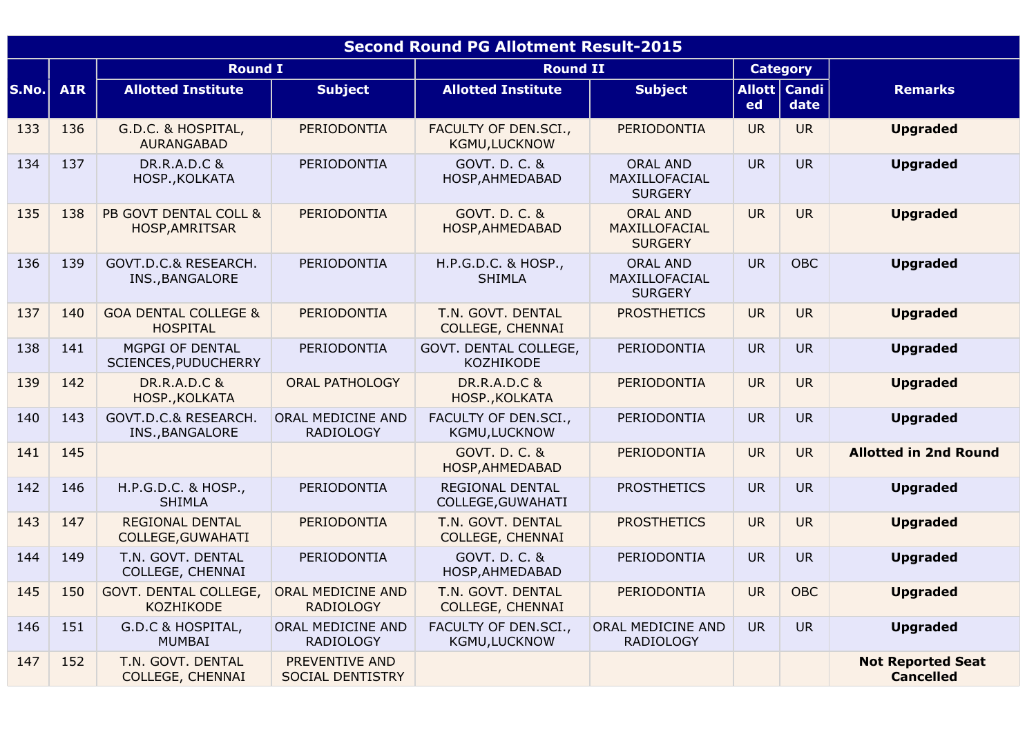|       | <b>Second Round PG Allotment Result-2015</b> |                                                    |                                       |                                              |                                                    |           |                             |                                              |  |  |  |
|-------|----------------------------------------------|----------------------------------------------------|---------------------------------------|----------------------------------------------|----------------------------------------------------|-----------|-----------------------------|----------------------------------------------|--|--|--|
|       |                                              | <b>Round I</b>                                     |                                       | <b>Round II</b>                              |                                                    |           | <b>Category</b>             |                                              |  |  |  |
| S.No. | <b>AIR</b>                                   | <b>Allotted Institute</b>                          | <b>Subject</b>                        | <b>Allotted Institute</b>                    | <b>Subject</b>                                     | ed        | <b>Allott Candi</b><br>date | <b>Remarks</b>                               |  |  |  |
| 133   | 136                                          | G.D.C. & HOSPITAL,<br><b>AURANGABAD</b>            | PERIODONTIA                           | FACULTY OF DEN.SCI.,<br>KGMU, LUCKNOW        | PERIODONTIA                                        | <b>UR</b> | <b>UR</b>                   | <b>Upgraded</b>                              |  |  |  |
| 134   | 137                                          | DR.R.A.D.C &<br>HOSP., KOLKATA                     | PERIODONTIA                           | GOVT. D. C. &<br>HOSP, AHMEDABAD             | <b>ORAL AND</b><br>MAXILLOFACIAL<br><b>SURGERY</b> | <b>UR</b> | <b>UR</b>                   | <b>Upgraded</b>                              |  |  |  |
| 135   | 138                                          | PB GOVT DENTAL COLL &<br>HOSP, AMRITSAR            | PERIODONTIA                           | <b>GOVT. D. C. &amp;</b><br>HOSP, AHMEDABAD  | <b>ORAL AND</b><br>MAXILLOFACIAL<br><b>SURGERY</b> | <b>UR</b> | <b>UR</b>                   | <b>Upgraded</b>                              |  |  |  |
| 136   | 139                                          | GOVT.D.C.& RESEARCH.<br>INS., BANGALORE            | PERIODONTIA                           | H.P.G.D.C. & HOSP.,<br><b>SHIMLA</b>         | <b>ORAL AND</b><br>MAXILLOFACIAL<br><b>SURGERY</b> | <b>UR</b> | <b>OBC</b>                  | <b>Upgraded</b>                              |  |  |  |
| 137   | 140                                          | <b>GOA DENTAL COLLEGE &amp;</b><br><b>HOSPITAL</b> | PERIODONTIA                           | T.N. GOVT. DENTAL<br><b>COLLEGE, CHENNAI</b> | <b>PROSTHETICS</b>                                 | <b>UR</b> | <b>UR</b>                   | <b>Upgraded</b>                              |  |  |  |
| 138   | 141                                          | MGPGI OF DENTAL<br>SCIENCES, PUDUCHERRY            | PERIODONTIA                           | GOVT. DENTAL COLLEGE,<br>KOZHIKODE           | PERIODONTIA                                        | <b>UR</b> | <b>UR</b>                   | <b>Upgraded</b>                              |  |  |  |
| 139   | 142                                          | <b>DR.R.A.D.C &amp;</b><br>HOSP., KOLKATA          | <b>ORAL PATHOLOGY</b>                 | <b>DR.R.A.D.C &amp;</b><br>HOSP., KOLKATA    | <b>PERIODONTIA</b>                                 | <b>UR</b> | <b>UR</b>                   | <b>Upgraded</b>                              |  |  |  |
| 140   | 143                                          | GOVT.D.C.& RESEARCH.<br>INS., BANGALORE            | ORAL MEDICINE AND<br><b>RADIOLOGY</b> | FACULTY OF DEN.SCI.,<br>KGMU, LUCKNOW        | PERIODONTIA                                        | <b>UR</b> | <b>UR</b>                   | <b>Upgraded</b>                              |  |  |  |
| 141   | 145                                          |                                                    |                                       | GOVT. D. C. &<br>HOSP, AHMEDABAD             | PERIODONTIA                                        | <b>UR</b> | <b>UR</b>                   | <b>Allotted in 2nd Round</b>                 |  |  |  |
| 142   | 146                                          | H.P.G.D.C. & HOSP.,<br><b>SHIMLA</b>               | PERIODONTIA                           | REGIONAL DENTAL<br>COLLEGE, GUWAHATI         | <b>PROSTHETICS</b>                                 | <b>UR</b> | <b>UR</b>                   | <b>Upgraded</b>                              |  |  |  |
| 143   | 147                                          | <b>REGIONAL DENTAL</b><br>COLLEGE, GUWAHATI        | PERIODONTIA                           | T.N. GOVT. DENTAL<br><b>COLLEGE, CHENNAI</b> | <b>PROSTHETICS</b>                                 | <b>UR</b> | <b>UR</b>                   | <b>Upgraded</b>                              |  |  |  |
| 144   | 149                                          | T.N. GOVT. DENTAL<br>COLLEGE, CHENNAI              | PERIODONTIA                           | GOVT. D. C. &<br>HOSP, AHMEDABAD             | PERIODONTIA                                        | <b>UR</b> | <b>UR</b>                   | <b>Upgraded</b>                              |  |  |  |
| 145   | 150                                          | GOVT. DENTAL COLLEGE,<br><b>KOZHIKODE</b>          | ORAL MEDICINE AND<br><b>RADIOLOGY</b> | T.N. GOVT. DENTAL<br><b>COLLEGE, CHENNAI</b> | PERIODONTIA                                        | <b>UR</b> | <b>OBC</b>                  | <b>Upgraded</b>                              |  |  |  |
| 146   | 151                                          | G.D.C & HOSPITAL,<br><b>MUMBAI</b>                 | ORAL MEDICINE AND<br><b>RADIOLOGY</b> | FACULTY OF DEN.SCI.,<br>KGMU, LUCKNOW        | ORAL MEDICINE AND<br><b>RADIOLOGY</b>              | <b>UR</b> | <b>UR</b>                   | <b>Upgraded</b>                              |  |  |  |
| 147   | 152                                          | T.N. GOVT. DENTAL<br><b>COLLEGE, CHENNAI</b>       | PREVENTIVE AND<br>SOCIAL DENTISTRY    |                                              |                                                    |           |                             | <b>Not Reported Seat</b><br><b>Cancelled</b> |  |  |  |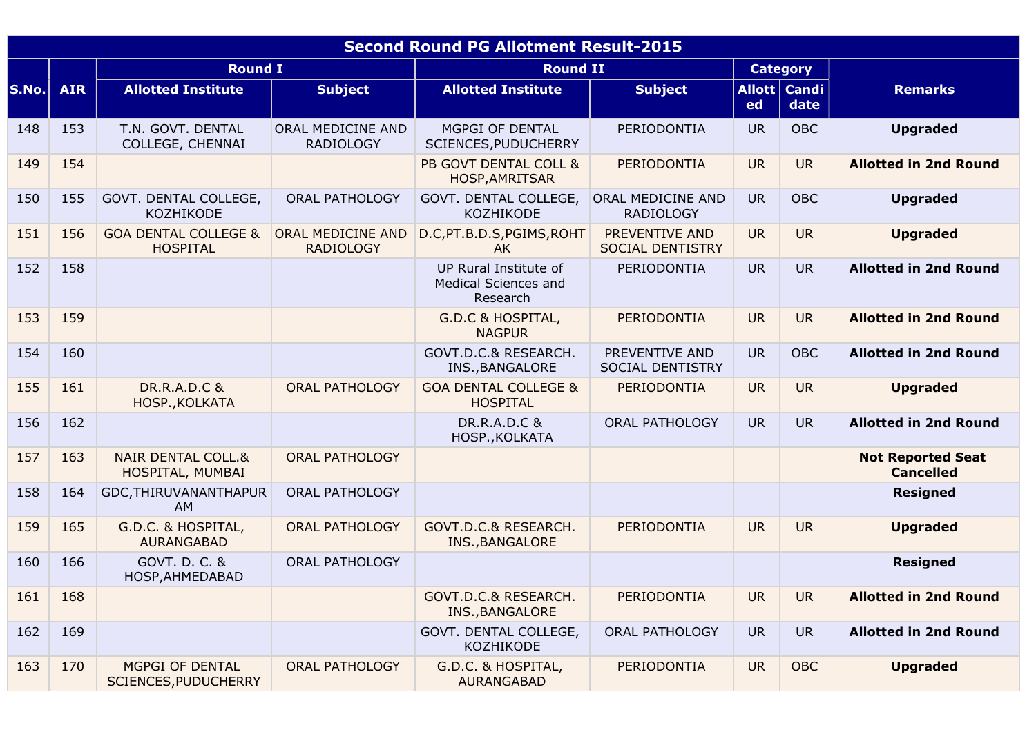|       | <b>Second Round PG Allotment Result-2015</b> |                                                    |                                       |                                                                  |                                           |           |                        |                                              |  |  |  |
|-------|----------------------------------------------|----------------------------------------------------|---------------------------------------|------------------------------------------------------------------|-------------------------------------------|-----------|------------------------|----------------------------------------------|--|--|--|
|       |                                              | <b>Round I</b>                                     |                                       | <b>Round II</b>                                                  |                                           |           | <b>Category</b>        |                                              |  |  |  |
| S.No. | <b>AIR</b>                                   | <b>Allotted Institute</b>                          | <b>Subject</b>                        | <b>Allotted Institute</b>                                        | <b>Subject</b>                            | ed        | Allott   Candi<br>date | <b>Remarks</b>                               |  |  |  |
| 148   | 153                                          | T.N. GOVT. DENTAL<br>COLLEGE, CHENNAI              | ORAL MEDICINE AND<br><b>RADIOLOGY</b> | MGPGI OF DENTAL<br>SCIENCES, PUDUCHERRY                          | PERIODONTIA                               | <b>UR</b> | <b>OBC</b>             | <b>Upgraded</b>                              |  |  |  |
| 149   | 154                                          |                                                    |                                       | PB GOVT DENTAL COLL &<br>HOSP, AMRITSAR                          | PERIODONTIA                               | <b>UR</b> | <b>UR</b>              | <b>Allotted in 2nd Round</b>                 |  |  |  |
| 150   | 155                                          | GOVT. DENTAL COLLEGE,<br>KOZHIKODE                 | <b>ORAL PATHOLOGY</b>                 | GOVT. DENTAL COLLEGE,<br><b>KOZHIKODE</b>                        | ORAL MEDICINE AND<br><b>RADIOLOGY</b>     | <b>UR</b> | <b>OBC</b>             | <b>Upgraded</b>                              |  |  |  |
| 151   | 156                                          | <b>GOA DENTAL COLLEGE &amp;</b><br><b>HOSPITAL</b> | ORAL MEDICINE AND<br><b>RADIOLOGY</b> | D.C, PT.B.D.S, PGIMS, ROHT<br>AK.                                | PREVENTIVE AND<br><b>SOCIAL DENTISTRY</b> | <b>UR</b> | <b>UR</b>              | <b>Upgraded</b>                              |  |  |  |
| 152   | 158                                          |                                                    |                                       | UP Rural Institute of<br><b>Medical Sciences and</b><br>Research | PERIODONTIA                               | <b>UR</b> | <b>UR</b>              | <b>Allotted in 2nd Round</b>                 |  |  |  |
| 153   | 159                                          |                                                    |                                       | <b>G.D.C &amp; HOSPITAL,</b><br><b>NAGPUR</b>                    | PERIODONTIA                               | <b>UR</b> | <b>UR</b>              | <b>Allotted in 2nd Round</b>                 |  |  |  |
| 154   | 160                                          |                                                    |                                       | GOVT.D.C.& RESEARCH.<br>INS., BANGALORE                          | PREVENTIVE AND<br>SOCIAL DENTISTRY        | <b>UR</b> | <b>OBC</b>             | <b>Allotted in 2nd Round</b>                 |  |  |  |
| 155   | 161                                          | <b>DR.R.A.D.C &amp;</b><br>HOSP., KOLKATA          | <b>ORAL PATHOLOGY</b>                 | <b>GOA DENTAL COLLEGE &amp;</b><br><b>HOSPITAL</b>               | PERIODONTIA                               | <b>UR</b> | <b>UR</b>              | <b>Upgraded</b>                              |  |  |  |
| 156   | 162                                          |                                                    |                                       | <b>DR.R.A.D.C &amp;</b><br>HOSP., KOLKATA                        | <b>ORAL PATHOLOGY</b>                     | <b>UR</b> | <b>UR</b>              | <b>Allotted in 2nd Round</b>                 |  |  |  |
| 157   | 163                                          | <b>NAIR DENTAL COLL.&amp;</b><br>HOSPITAL, MUMBAI  | <b>ORAL PATHOLOGY</b>                 |                                                                  |                                           |           |                        | <b>Not Reported Seat</b><br><b>Cancelled</b> |  |  |  |
| 158   | 164                                          | GDC, THIRUVANANTHAPUR<br>AM                        | <b>ORAL PATHOLOGY</b>                 |                                                                  |                                           |           |                        | <b>Resigned</b>                              |  |  |  |
| 159   | 165                                          | G.D.C. & HOSPITAL,<br>AURANGABAD                   | <b>ORAL PATHOLOGY</b>                 | GOVT.D.C.& RESEARCH.<br>INS., BANGALORE                          | PERIODONTIA                               | <b>UR</b> | <b>UR</b>              | <b>Upgraded</b>                              |  |  |  |
| 160   | 166                                          | GOVT. D. C. &<br>HOSP, AHMEDABAD                   | <b>ORAL PATHOLOGY</b>                 |                                                                  |                                           |           |                        | <b>Resigned</b>                              |  |  |  |
| 161   | 168                                          |                                                    |                                       | GOVT.D.C.& RESEARCH.<br>INS., BANGALORE                          | PERIODONTIA                               | <b>UR</b> | <b>UR</b>              | <b>Allotted in 2nd Round</b>                 |  |  |  |
| 162   | 169                                          |                                                    |                                       | GOVT. DENTAL COLLEGE,<br><b>KOZHIKODE</b>                        | <b>ORAL PATHOLOGY</b>                     | <b>UR</b> | <b>UR</b>              | <b>Allotted in 2nd Round</b>                 |  |  |  |
| 163   | 170                                          | MGPGI OF DENTAL<br>SCIENCES, PUDUCHERRY            | <b>ORAL PATHOLOGY</b>                 | G.D.C. & HOSPITAL,<br><b>AURANGABAD</b>                          | PERIODONTIA                               | <b>UR</b> | <b>OBC</b>             | <b>Upgraded</b>                              |  |  |  |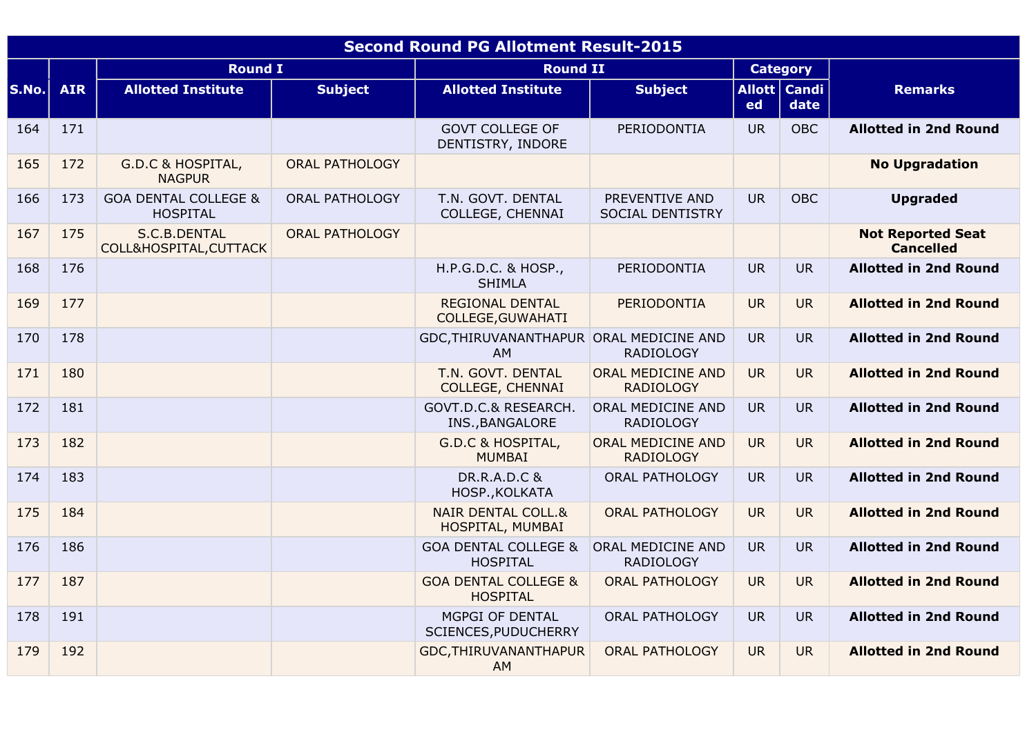| <b>Second Round PG Allotment Result-2015</b> |            |                                                    |                       |                                                    |                                              |           |                        |                                              |
|----------------------------------------------|------------|----------------------------------------------------|-----------------------|----------------------------------------------------|----------------------------------------------|-----------|------------------------|----------------------------------------------|
|                                              |            | <b>Round I</b>                                     |                       | <b>Round II</b>                                    |                                              |           | <b>Category</b>        |                                              |
| S.No.l                                       | <b>AIR</b> | <b>Allotted Institute</b>                          | <b>Subject</b>        | <b>Allotted Institute</b>                          | <b>Subject</b>                               | ed        | Allott   Candi<br>date | <b>Remarks</b>                               |
| 164                                          | 171        |                                                    |                       | <b>GOVT COLLEGE OF</b><br>DENTISTRY, INDORE        | PERIODONTIA                                  | <b>UR</b> | <b>OBC</b>             | <b>Allotted in 2nd Round</b>                 |
| 165                                          | 172        | G.D.C & HOSPITAL,<br><b>NAGPUR</b>                 | <b>ORAL PATHOLOGY</b> |                                                    |                                              |           |                        | <b>No Upgradation</b>                        |
| 166                                          | 173        | <b>GOA DENTAL COLLEGE &amp;</b><br><b>HOSPITAL</b> | <b>ORAL PATHOLOGY</b> | T.N. GOVT. DENTAL<br>COLLEGE, CHENNAI              | PREVENTIVE AND<br>SOCIAL DENTISTRY           | <b>UR</b> | <b>OBC</b>             | <b>Upgraded</b>                              |
| 167                                          | 175        | S.C.B.DENTAL<br>COLL&HOSPITAL, CUTTACK             | <b>ORAL PATHOLOGY</b> |                                                    |                                              |           |                        | <b>Not Reported Seat</b><br><b>Cancelled</b> |
| 168                                          | 176        |                                                    |                       | H.P.G.D.C. & HOSP.,<br><b>SHIMLA</b>               | PERIODONTIA                                  | <b>UR</b> | <b>UR</b>              | <b>Allotted in 2nd Round</b>                 |
| 169                                          | 177        |                                                    |                       | <b>REGIONAL DENTAL</b><br>COLLEGE, GUWAHATI        | PERIODONTIA                                  | <b>UR</b> | <b>UR</b>              | <b>Allotted in 2nd Round</b>                 |
| 170                                          | 178        |                                                    |                       | GDC, THIRUVANANTHAPUR ORAL MEDICINE AND<br>AM.     | <b>RADIOLOGY</b>                             | <b>UR</b> | <b>UR</b>              | <b>Allotted in 2nd Round</b>                 |
| 171                                          | 180        |                                                    |                       | T.N. GOVT. DENTAL<br><b>COLLEGE, CHENNAI</b>       | <b>ORAL MEDICINE AND</b><br><b>RADIOLOGY</b> | <b>UR</b> | <b>UR</b>              | <b>Allotted in 2nd Round</b>                 |
| 172                                          | 181        |                                                    |                       | GOVT.D.C.& RESEARCH.<br>INS., BANGALORE            | ORAL MEDICINE AND<br><b>RADIOLOGY</b>        | <b>UR</b> | <b>UR</b>              | <b>Allotted in 2nd Round</b>                 |
| 173                                          | 182        |                                                    |                       | G.D.C & HOSPITAL,<br><b>MUMBAI</b>                 | ORAL MEDICINE AND<br><b>RADIOLOGY</b>        | <b>UR</b> | <b>UR</b>              | <b>Allotted in 2nd Round</b>                 |
| 174                                          | 183        |                                                    |                       | <b>DR.R.A.D.C &amp;</b><br>HOSP., KOLKATA          | <b>ORAL PATHOLOGY</b>                        | <b>UR</b> | <b>UR</b>              | <b>Allotted in 2nd Round</b>                 |
| 175                                          | 184        |                                                    |                       | <b>NAIR DENTAL COLL.&amp;</b><br>HOSPITAL, MUMBAI  | <b>ORAL PATHOLOGY</b>                        | <b>UR</b> | <b>UR</b>              | <b>Allotted in 2nd Round</b>                 |
| 176                                          | 186        |                                                    |                       | <b>GOA DENTAL COLLEGE &amp;</b><br><b>HOSPITAL</b> | ORAL MEDICINE AND<br><b>RADIOLOGY</b>        | <b>UR</b> | <b>UR</b>              | <b>Allotted in 2nd Round</b>                 |
| 177                                          | 187        |                                                    |                       | <b>GOA DENTAL COLLEGE &amp;</b><br><b>HOSPITAL</b> | <b>ORAL PATHOLOGY</b>                        | <b>UR</b> | <b>UR</b>              | <b>Allotted in 2nd Round</b>                 |
| 178                                          | 191        |                                                    |                       | MGPGI OF DENTAL<br>SCIENCES, PUDUCHERRY            | <b>ORAL PATHOLOGY</b>                        | <b>UR</b> | <b>UR</b>              | <b>Allotted in 2nd Round</b>                 |
| 179                                          | 192        |                                                    |                       | GDC, THIRUVANANTHAPUR<br>AM                        | <b>ORAL PATHOLOGY</b>                        | <b>UR</b> | <b>UR</b>              | <b>Allotted in 2nd Round</b>                 |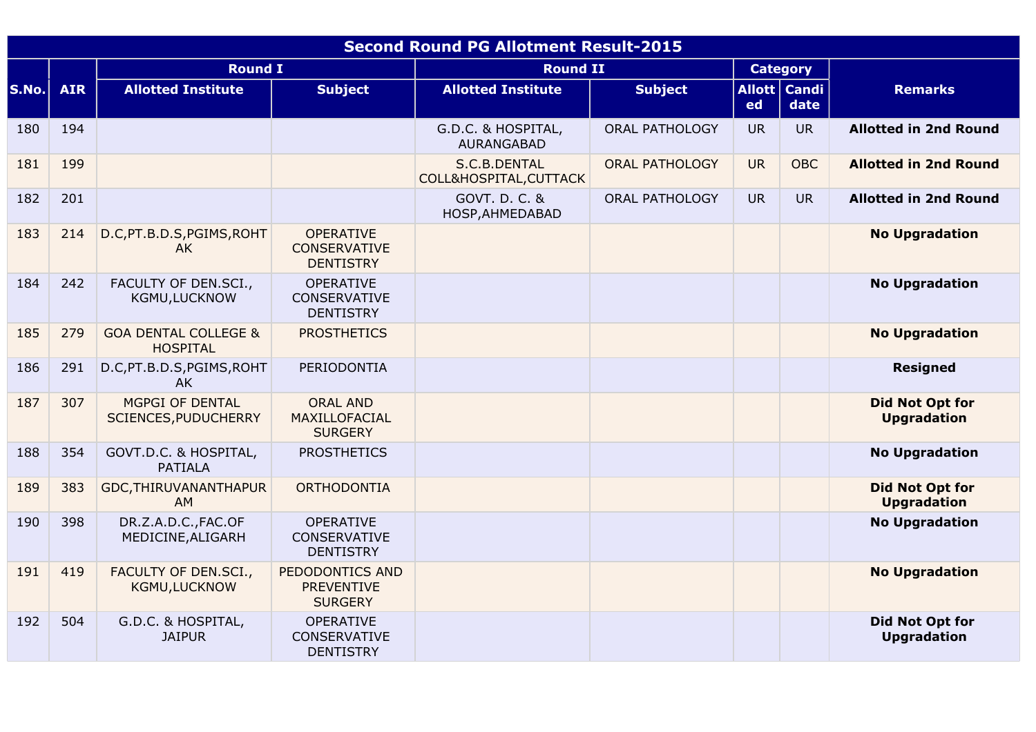| <b>Second Round PG Allotment Result-2015</b> |            |                                                    |                                                             |                                         |                       |                 |                        |                                              |
|----------------------------------------------|------------|----------------------------------------------------|-------------------------------------------------------------|-----------------------------------------|-----------------------|-----------------|------------------------|----------------------------------------------|
|                                              |            | <b>Round I</b>                                     |                                                             | <b>Round II</b>                         |                       | <b>Category</b> |                        |                                              |
| S.No.                                        | <b>AIR</b> | <b>Allotted Institute</b>                          | <b>Subject</b>                                              | <b>Allotted Institute</b>               | <b>Subject</b>        | <b>ed</b>       | Allott   Candi<br>date | <b>Remarks</b>                               |
| 180                                          | 194        |                                                    |                                                             | G.D.C. & HOSPITAL,<br><b>AURANGABAD</b> | <b>ORAL PATHOLOGY</b> | <b>UR</b>       | <b>UR</b>              | <b>Allotted in 2nd Round</b>                 |
| 181                                          | 199        |                                                    |                                                             | S.C.B.DENTAL<br>COLL&HOSPITAL, CUTTACK  | <b>ORAL PATHOLOGY</b> | <b>UR</b>       | <b>OBC</b>             | <b>Allotted in 2nd Round</b>                 |
| 182                                          | 201        |                                                    |                                                             | GOVT. D. C. &<br>HOSP, AHMEDABAD        | <b>ORAL PATHOLOGY</b> | <b>UR</b>       | <b>UR</b>              | <b>Allotted in 2nd Round</b>                 |
| 183                                          | 214        | D.C, PT.B.D.S, PGIMS, ROHT<br>AK.                  | <b>OPERATIVE</b><br><b>CONSERVATIVE</b><br><b>DENTISTRY</b> |                                         |                       |                 |                        | <b>No Upgradation</b>                        |
| 184                                          | 242        | FACULTY OF DEN.SCI.,<br>KGMU,LUCKNOW               | <b>OPERATIVE</b><br>CONSERVATIVE<br><b>DENTISTRY</b>        |                                         |                       |                 |                        | <b>No Upgradation</b>                        |
| 185                                          | 279        | <b>GOA DENTAL COLLEGE &amp;</b><br><b>HOSPITAL</b> | <b>PROSTHETICS</b>                                          |                                         |                       |                 |                        | <b>No Upgradation</b>                        |
| 186                                          | 291        | D.C, PT.B.D.S, PGIMS, ROHT<br>AK.                  | PERIODONTIA                                                 |                                         |                       |                 |                        | <b>Resigned</b>                              |
| 187                                          | 307        | MGPGI OF DENTAL<br>SCIENCES, PUDUCHERRY            | <b>ORAL AND</b><br>MAXILLOFACIAL<br><b>SURGERY</b>          |                                         |                       |                 |                        | <b>Did Not Opt for</b><br><b>Upgradation</b> |
| 188                                          | 354        | GOVT.D.C. & HOSPITAL,<br><b>PATIALA</b>            | <b>PROSTHETICS</b>                                          |                                         |                       |                 |                        | <b>No Upgradation</b>                        |
| 189                                          | 383        | GDC, THIRUVANANTHAPUR<br><b>AM</b>                 | <b>ORTHODONTIA</b>                                          |                                         |                       |                 |                        | <b>Did Not Opt for</b><br><b>Upgradation</b> |
| 190                                          | 398        | DR.Z.A.D.C., FAC.OF<br>MEDICINE, ALIGARH           | <b>OPERATIVE</b><br>CONSERVATIVE<br><b>DENTISTRY</b>        |                                         |                       |                 |                        | <b>No Upgradation</b>                        |
| 191                                          | 419        | FACULTY OF DEN.SCI.,<br><b>KGMU,LUCKNOW</b>        | PEDODONTICS AND<br><b>PREVENTIVE</b><br><b>SURGERY</b>      |                                         |                       |                 |                        | <b>No Upgradation</b>                        |
| 192                                          | 504        | G.D.C. & HOSPITAL,<br><b>JAIPUR</b>                | <b>OPERATIVE</b><br>CONSERVATIVE<br><b>DENTISTRY</b>        |                                         |                       |                 |                        | <b>Did Not Opt for</b><br><b>Upgradation</b> |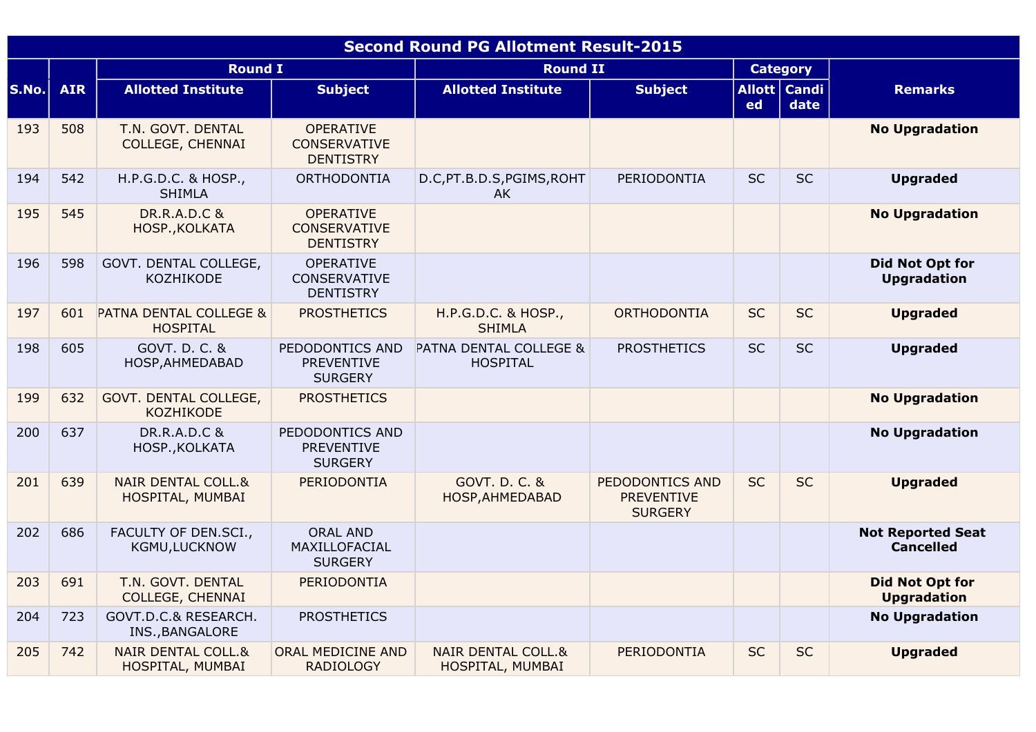| <b>Second Round PG Allotment Result-2015</b> |            |                                                   |                                                             |                                                   |                                                        |                 |                        |                                              |
|----------------------------------------------|------------|---------------------------------------------------|-------------------------------------------------------------|---------------------------------------------------|--------------------------------------------------------|-----------------|------------------------|----------------------------------------------|
|                                              |            |                                                   | <b>Round I</b><br><b>Round II</b>                           |                                                   |                                                        | <b>Category</b> |                        |                                              |
| S.No.l                                       | <b>AIR</b> | <b>Allotted Institute</b>                         | <b>Subject</b>                                              | <b>Allotted Institute</b>                         | <b>Subject</b>                                         | ed              | Allott   Candi<br>date | <b>Remarks</b>                               |
| 193                                          | 508        | T.N. GOVT. DENTAL<br><b>COLLEGE, CHENNAI</b>      | <b>OPERATIVE</b><br><b>CONSERVATIVE</b><br><b>DENTISTRY</b> |                                                   |                                                        |                 |                        | <b>No Upgradation</b>                        |
| 194                                          | 542        | H.P.G.D.C. & HOSP.,<br><b>SHIMLA</b>              | <b>ORTHODONTIA</b>                                          | D.C, PT.B.D.S, PGIMS, ROHT<br><b>AK</b>           | PERIODONTIA                                            | <b>SC</b>       | <b>SC</b>              | <b>Upgraded</b>                              |
| 195                                          | 545        | <b>DR.R.A.D.C &amp;</b><br>HOSP., KOLKATA         | <b>OPERATIVE</b><br><b>CONSERVATIVE</b><br><b>DENTISTRY</b> |                                                   |                                                        |                 |                        | <b>No Upgradation</b>                        |
| 196                                          | 598        | GOVT. DENTAL COLLEGE,<br>KOZHIKODE                | <b>OPERATIVE</b><br><b>CONSERVATIVE</b><br><b>DENTISTRY</b> |                                                   |                                                        |                 |                        | Did Not Opt for<br><b>Upgradation</b>        |
| 197                                          | 601        | PATNA DENTAL COLLEGE &<br><b>HOSPITAL</b>         | <b>PROSTHETICS</b>                                          | H.P.G.D.C. & HOSP.,<br><b>SHIMLA</b>              | ORTHODONTIA                                            | <b>SC</b>       | <b>SC</b>              | <b>Upgraded</b>                              |
| 198                                          | 605        | GOVT, D. C. &<br>HOSP, AHMEDABAD                  | PEDODONTICS AND<br><b>PREVENTIVE</b><br><b>SURGERY</b>      | PATNA DENTAL COLLEGE &<br><b>HOSPITAL</b>         | <b>PROSTHETICS</b>                                     | <b>SC</b>       | <b>SC</b>              | <b>Upgraded</b>                              |
| 199                                          | 632        | GOVT. DENTAL COLLEGE,<br><b>KOZHIKODE</b>         | <b>PROSTHETICS</b>                                          |                                                   |                                                        |                 |                        | <b>No Upgradation</b>                        |
| 200                                          | 637        | <b>DR.R.A.D.C &amp;</b><br>HOSP., KOLKATA         | PEDODONTICS AND<br><b>PREVENTIVE</b><br><b>SURGERY</b>      |                                                   |                                                        |                 |                        | <b>No Upgradation</b>                        |
| 201                                          | 639        | <b>NAIR DENTAL COLL.&amp;</b><br>HOSPITAL, MUMBAI | PERIODONTIA                                                 | GOVT. D. C. &<br>HOSP, AHMEDABAD                  | PEDODONTICS AND<br><b>PREVENTIVE</b><br><b>SURGERY</b> | <b>SC</b>       | <b>SC</b>              | <b>Upgraded</b>                              |
| 202                                          | 686        | FACULTY OF DEN.SCI.,<br>KGMU,LUCKNOW              | <b>ORAL AND</b><br>MAXILLOFACIAL<br><b>SURGERY</b>          |                                                   |                                                        |                 |                        | <b>Not Reported Seat</b><br><b>Cancelled</b> |
| 203                                          | 691        | T.N. GOVT. DENTAL<br><b>COLLEGE, CHENNAI</b>      | PERIODONTIA                                                 |                                                   |                                                        |                 |                        | <b>Did Not Opt for</b><br><b>Upgradation</b> |
| 204                                          | 723        | GOVT.D.C.& RESEARCH.<br>INS., BANGALORE           | <b>PROSTHETICS</b>                                          |                                                   |                                                        |                 |                        | <b>No Upgradation</b>                        |
| 205                                          | 742        | <b>NAIR DENTAL COLL.&amp;</b><br>HOSPITAL, MUMBAI | <b>ORAL MEDICINE AND</b><br><b>RADIOLOGY</b>                | <b>NAIR DENTAL COLL.&amp;</b><br>HOSPITAL, MUMBAI | PERIODONTIA                                            | <b>SC</b>       | <b>SC</b>              | <b>Upgraded</b>                              |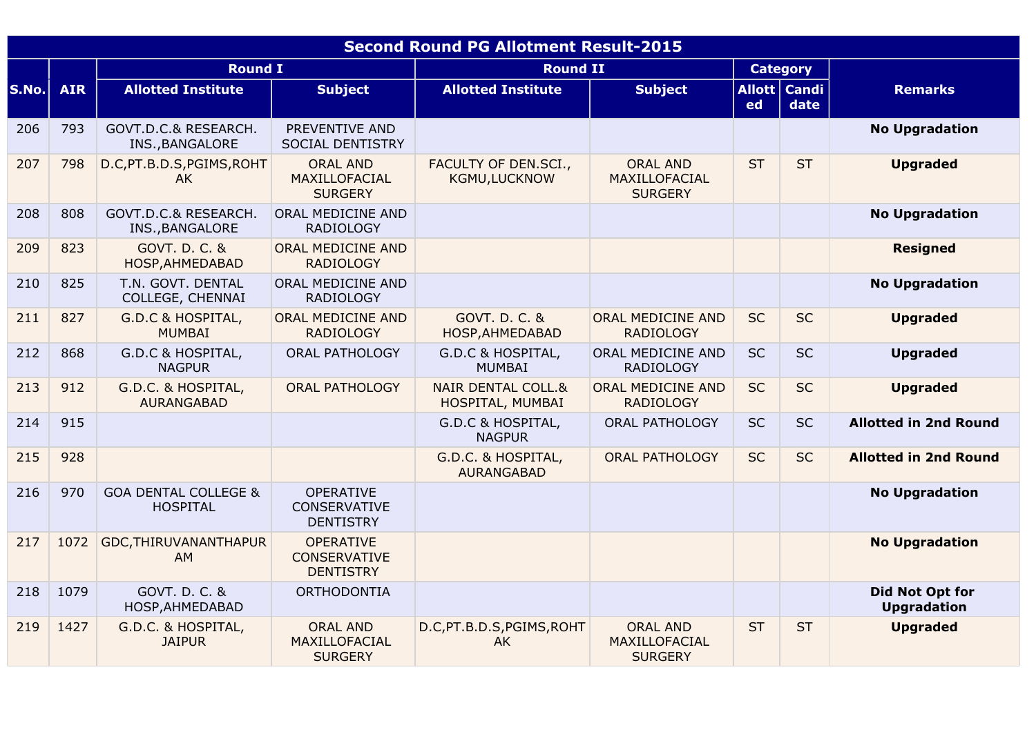|       | <b>Second Round PG Allotment Result-2015</b> |                                                    |                                                             |                                                   |                                                    |                 |                      |                                              |  |
|-------|----------------------------------------------|----------------------------------------------------|-------------------------------------------------------------|---------------------------------------------------|----------------------------------------------------|-----------------|----------------------|----------------------------------------------|--|
|       |                                              |                                                    | <b>Round I</b><br><b>Round II</b>                           |                                                   |                                                    | <b>Category</b> |                      |                                              |  |
| S.No. | <b>AIR</b>                                   | <b>Allotted Institute</b>                          | <b>Subject</b>                                              | <b>Allotted Institute</b>                         | <b>Subject</b>                                     | ed              | Allott Candi<br>date | <b>Remarks</b>                               |  |
| 206   | 793                                          | GOVT.D.C.& RESEARCH.<br>INS., BANGALORE            | PREVENTIVE AND<br>SOCIAL DENTISTRY                          |                                                   |                                                    |                 |                      | <b>No Upgradation</b>                        |  |
| 207   | 798                                          | D.C, PT.B.D.S, PGIMS, ROHT<br>AK.                  | <b>ORAL AND</b><br>MAXILLOFACIAL<br><b>SURGERY</b>          | FACULTY OF DEN.SCI.,<br>KGMU,LUCKNOW              | <b>ORAL AND</b><br>MAXILLOFACIAL<br><b>SURGERY</b> | <b>ST</b>       | <b>ST</b>            | <b>Upgraded</b>                              |  |
| 208   | 808                                          | GOVT.D.C.& RESEARCH.<br>INS., BANGALORE            | ORAL MEDICINE AND<br><b>RADIOLOGY</b>                       |                                                   |                                                    |                 |                      | <b>No Upgradation</b>                        |  |
| 209   | 823                                          | GOVT, D. C. &<br>HOSP, AHMEDABAD                   | <b>ORAL MEDICINE AND</b><br><b>RADIOLOGY</b>                |                                                   |                                                    |                 |                      | <b>Resigned</b>                              |  |
| 210   | 825                                          | T.N. GOVT. DENTAL<br>COLLEGE, CHENNAI              | ORAL MEDICINE AND<br><b>RADIOLOGY</b>                       |                                                   |                                                    |                 |                      | <b>No Upgradation</b>                        |  |
| 211   | 827                                          | <b>G.D.C &amp; HOSPITAL,</b><br><b>MUMBAI</b>      | ORAL MEDICINE AND<br><b>RADIOLOGY</b>                       | GOVT. D. C. &<br>HOSP, AHMEDABAD                  | ORAL MEDICINE AND<br><b>RADIOLOGY</b>              | <b>SC</b>       | <b>SC</b>            | <b>Upgraded</b>                              |  |
| 212   | 868                                          | <b>G.D.C &amp; HOSPITAL,</b><br><b>NAGPUR</b>      | <b>ORAL PATHOLOGY</b>                                       | G.D.C & HOSPITAL,<br><b>MUMBAI</b>                | ORAL MEDICINE AND<br><b>RADIOLOGY</b>              | <b>SC</b>       | <b>SC</b>            | <b>Upgraded</b>                              |  |
| 213   | 912                                          | G.D.C. & HOSPITAL,<br><b>AURANGABAD</b>            | <b>ORAL PATHOLOGY</b>                                       | <b>NAIR DENTAL COLL.&amp;</b><br>HOSPITAL, MUMBAI | ORAL MEDICINE AND<br><b>RADIOLOGY</b>              | <b>SC</b>       | <b>SC</b>            | <b>Upgraded</b>                              |  |
| 214   | 915                                          |                                                    |                                                             | G.D.C & HOSPITAL,<br><b>NAGPUR</b>                | <b>ORAL PATHOLOGY</b>                              | <b>SC</b>       | <b>SC</b>            | <b>Allotted in 2nd Round</b>                 |  |
| 215   | 928                                          |                                                    |                                                             | G.D.C. & HOSPITAL,<br>AURANGABAD                  | <b>ORAL PATHOLOGY</b>                              | <b>SC</b>       | <b>SC</b>            | <b>Allotted in 2nd Round</b>                 |  |
| 216   | 970                                          | <b>GOA DENTAL COLLEGE &amp;</b><br><b>HOSPITAL</b> | <b>OPERATIVE</b><br><b>CONSERVATIVE</b><br><b>DENTISTRY</b> |                                                   |                                                    |                 |                      | <b>No Upgradation</b>                        |  |
| 217   | 1072                                         | GDC, THIRUVANANTHAPUR<br>AM                        | <b>OPERATIVE</b><br><b>CONSERVATIVE</b><br><b>DENTISTRY</b> |                                                   |                                                    |                 |                      | <b>No Upgradation</b>                        |  |
| 218   | 1079                                         | GOVT, D. C. &<br>HOSP, AHMEDABAD                   | <b>ORTHODONTIA</b>                                          |                                                   |                                                    |                 |                      | <b>Did Not Opt for</b><br><b>Upgradation</b> |  |
| 219   | 1427                                         | G.D.C. & HOSPITAL,<br><b>JAIPUR</b>                | <b>ORAL AND</b><br>MAXILLOFACIAL<br><b>SURGERY</b>          | D.C, PT.B.D.S, PGIMS, ROHT<br>AK                  | <b>ORAL AND</b><br>MAXILLOFACIAL<br><b>SURGERY</b> | <b>ST</b>       | <b>ST</b>            | <b>Upgraded</b>                              |  |